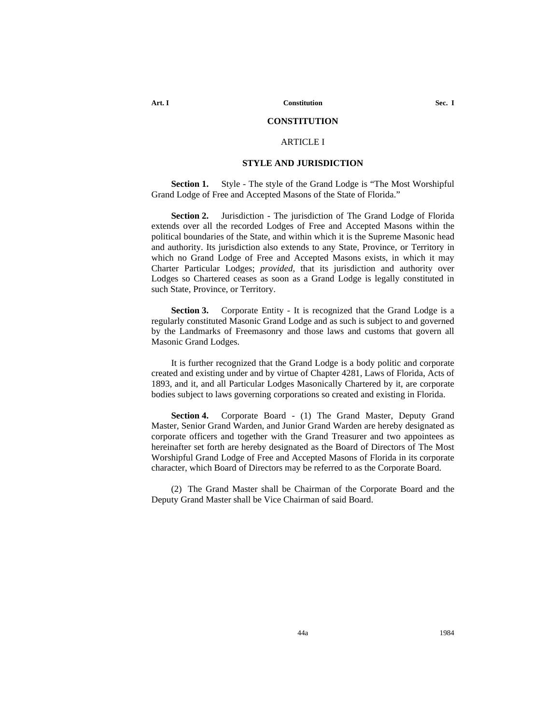**Art. I Constitution Sec. I**

# **CONSTITUTION**

# ARTICLE I

# **STYLE AND JURISDICTION**

**Section 1.** Style - The style of the Grand Lodge is "The Most Worshipful Grand Lodge of Free and Accepted Masons of the State of Florida."

**Section 2.** Jurisdiction - The jurisdiction of The Grand Lodge of Florida extends over all the recorded Lodges of Free and Accepted Masons within the political boundaries of the State, and within which it is the Supreme Masonic head and authority. Its jurisdiction also extends to any State, Province, or Territory in which no Grand Lodge of Free and Accepted Masons exists, in which it may Charter Particular Lodges; *provided,* that its jurisdiction and authority over Lodges so Chartered ceases as soon as a Grand Lodge is legally constituted in such State, Province, or Territory.

**Section 3.** Corporate Entity - It is recognized that the Grand Lodge is a regularly constituted Masonic Grand Lodge and as such is subject to and governed by the Landmarks of Freemasonry and those laws and customs that govern all Masonic Grand Lodges.

It is further recognized that the Grand Lodge is a body politic and corporate created and existing under and by virtue of Chapter 4281, Laws of Florida, Acts of 1893, and it, and all Particular Lodges Masonically Chartered by it, are corporate bodies subject to laws governing corporations so created and existing in Florida.

**Section 4.** Corporate Board - (1) The Grand Master, Deputy Grand Master, Senior Grand Warden, and Junior Grand Warden are hereby designated as corporate officers and together with the Grand Treasurer and two appointees as hereinafter set forth are hereby designated as the Board of Directors of The Most Worshipful Grand Lodge of Free and Accepted Masons of Florida in its corporate character, which Board of Directors may be referred to as the Corporate Board.

(2) The Grand Master shall be Chairman of the Corporate Board and the Deputy Grand Master shall be Vice Chairman of said Board.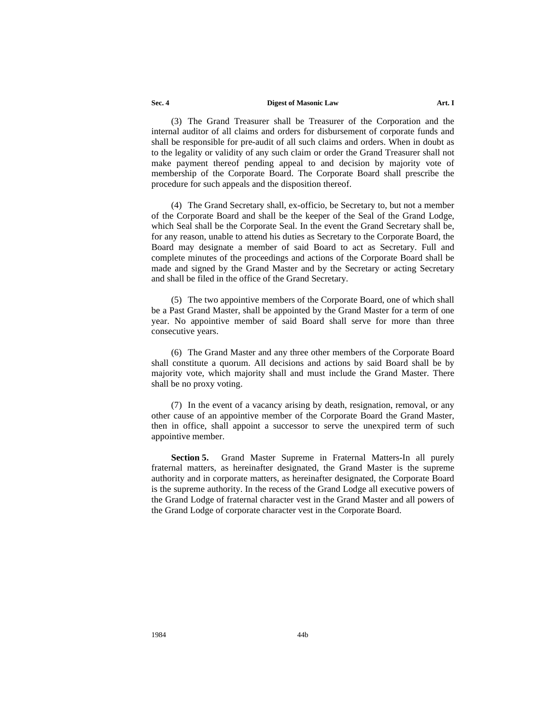#### **Sec. 4 Digest of Masonic Law Art. I**

(3) The Grand Treasurer shall be Treasurer of the Corporation and the internal auditor of all claims and orders for disbursement of corporate funds and shall be responsible for pre-audit of all such claims and orders. When in doubt as to the legality or validity of any such claim or order the Grand Treasurer shall not make payment thereof pending appeal to and decision by majority vote of membership of the Corporate Board. The Corporate Board shall prescribe the procedure for such appeals and the disposition thereof.

(4) The Grand Secretary shall, ex-officio, be Secretary to, but not a member of the Corporate Board and shall be the keeper of the Seal of the Grand Lodge, which Seal shall be the Corporate Seal. In the event the Grand Secretary shall be, for any reason, unable to attend his duties as Secretary to the Corporate Board, the Board may designate a member of said Board to act as Secretary. Full and complete minutes of the proceedings and actions of the Corporate Board shall be made and signed by the Grand Master and by the Secretary or acting Secretary and shall be filed in the office of the Grand Secretary.

(5) The two appointive members of the Corporate Board, one of which shall be a Past Grand Master, shall be appointed by the Grand Master for a term of one year. No appointive member of said Board shall serve for more than three consecutive years.

(6) The Grand Master and any three other members of the Corporate Board shall constitute a quorum. All decisions and actions by said Board shall be by majority vote, which majority shall and must include the Grand Master. There shall be no proxy voting.

(7) In the event of a vacancy arising by death, resignation, removal, or any other cause of an appointive member of the Corporate Board the Grand Master, then in office, shall appoint a successor to serve the unexpired term of such appointive member.

**Section 5.** Grand Master Supreme in Fraternal Matters-In all purely fraternal matters, as hereinafter designated, the Grand Master is the supreme authority and in corporate matters, as hereinafter designated, the Corporate Board is the supreme authority. In the recess of the Grand Lodge all executive powers of the Grand Lodge of fraternal character vest in the Grand Master and all powers of the Grand Lodge of corporate character vest in the Corporate Board.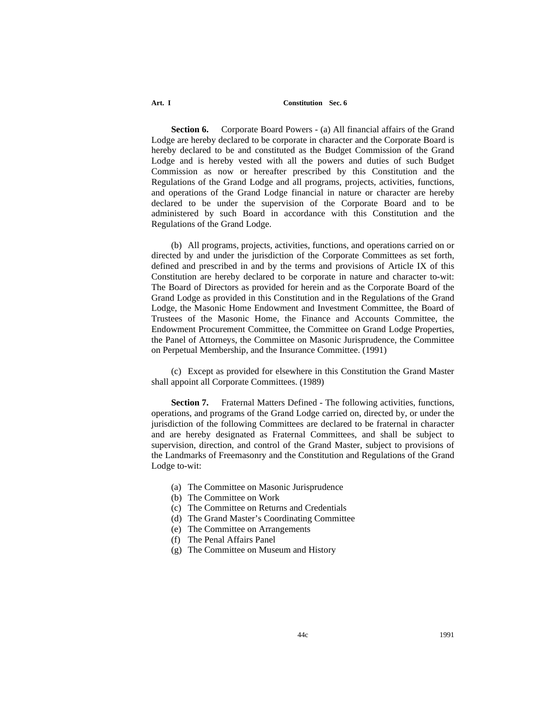#### **Art. I Constitution Sec. 6**

**Section 6.** Corporate Board Powers - (a) All financial affairs of the Grand Lodge are hereby declared to be corporate in character and the Corporate Board is hereby declared to be and constituted as the Budget Commission of the Grand Lodge and is hereby vested with all the powers and duties of such Budget Commission as now or hereafter prescribed by this Constitution and the Regulations of the Grand Lodge and all programs, projects, activities, functions, and operations of the Grand Lodge financial in nature or character are hereby declared to be under the supervision of the Corporate Board and to be administered by such Board in accordance with this Constitution and the Regulations of the Grand Lodge.

(b) All programs, projects, activities, functions, and operations carried on or directed by and under the jurisdiction of the Corporate Committees as set forth, defined and prescribed in and by the terms and provisions of Article IX of this Constitution are hereby declared to be corporate in nature and character to-wit: The Board of Directors as provided for herein and as the Corporate Board of the Grand Lodge as provided in this Constitution and in the Regulations of the Grand Lodge, the Masonic Home Endowment and Investment Committee, the Board of Trustees of the Masonic Home, the Finance and Accounts Committee, the Endowment Procurement Committee, the Committee on Grand Lodge Properties, the Panel of Attorneys, the Committee on Masonic Jurisprudence, the Committee on Perpetual Membership, and the Insurance Committee. (1991)

(c) Except as provided for elsewhere in this Constitution the Grand Master shall appoint all Corporate Committees. (1989)

**Section 7.** Fraternal Matters Defined - The following activities, functions, operations, and programs of the Grand Lodge carried on, directed by, or under the jurisdiction of the following Committees are declared to be fraternal in character and are hereby designated as Fraternal Committees, and shall be subject to supervision, direction, and control of the Grand Master, subject to provisions of the Landmarks of Freemasonry and the Constitution and Regulations of the Grand Lodge to-wit:

- (a) The Committee on Masonic Jurisprudence
- (b) The Committee on Work
- (c) The Committee on Returns and Credentials
- (d) The Grand Master's Coordinating Committee
- (e) The Committee on Arrangements
- (f) The Penal Affairs Panel
- (g) The Committee on Museum and History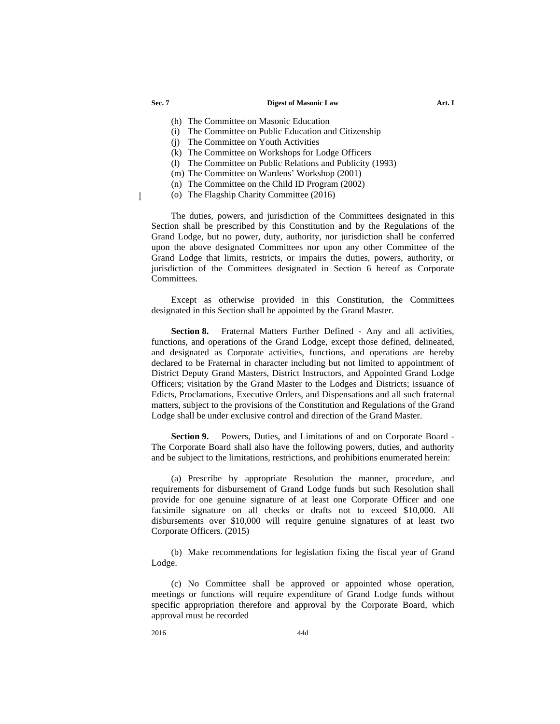#### **Sec. 7 Digest of Masonic Law Art. I**

- (h) The Committee on Masonic Education
- (i) The Committee on Public Education and Citizenship
- (j) The Committee on Youth Activities
- (k) The Committee on Workshops for Lodge Officers
- (l) The Committee on Public Relations and Publicity (1993)
- (m) The Committee on Wardens' Workshop (2001)
- (n) The Committee on the Child ID Program (2002)
- (o) The Flagship Charity Committee (2016)

The duties, powers, and jurisdiction of the Committees designated in this Section shall be prescribed by this Constitution and by the Regulations of the Grand Lodge, but no power, duty, authority, nor jurisdiction shall be conferred upon the above designated Committees nor upon any other Committee of the Grand Lodge that limits, restricts, or impairs the duties, powers, authority, or jurisdiction of the Committees designated in Section 6 hereof as Corporate Committees.

Except as otherwise provided in this Constitution, the Committees designated in this Section shall be appointed by the Grand Master.

**Section 8.** Fraternal Matters Further Defined - Any and all activities, functions, and operations of the Grand Lodge, except those defined, delineated, and designated as Corporate activities, functions, and operations are hereby declared to be Fraternal in character including but not limited to appointment of District Deputy Grand Masters, District Instructors, and Appointed Grand Lodge Officers; visitation by the Grand Master to the Lodges and Districts; issuance of Edicts, Proclamations, Executive Orders, and Dispensations and all such fraternal matters, subject to the provisions of the Constitution and Regulations of the Grand Lodge shall be under exclusive control and direction of the Grand Master.

**Section 9.** Powers, Duties, and Limitations of and on Corporate Board - The Corporate Board shall also have the following powers, duties, and authority and be subject to the limitations, restrictions, and prohibitions enumerated herein:

(a) Prescribe by appropriate Resolution the manner, procedure, and requirements for disbursement of Grand Lodge funds but such Resolution shall provide for one genuine signature of at least one Corporate Officer and one facsimile signature on all checks or drafts not to exceed \$10,000. All disbursements over \$10,000 will require genuine signatures of at least two Corporate Officers. (2015)

(b) Make recommendations for legislation fixing the fiscal year of Grand Lodge.

(c) No Committee shall be approved or appointed whose operation, meetings or functions will require expenditure of Grand Lodge funds without specific appropriation therefore and approval by the Corporate Board, which approval must be recorded

2016 44d

 $\overline{1}$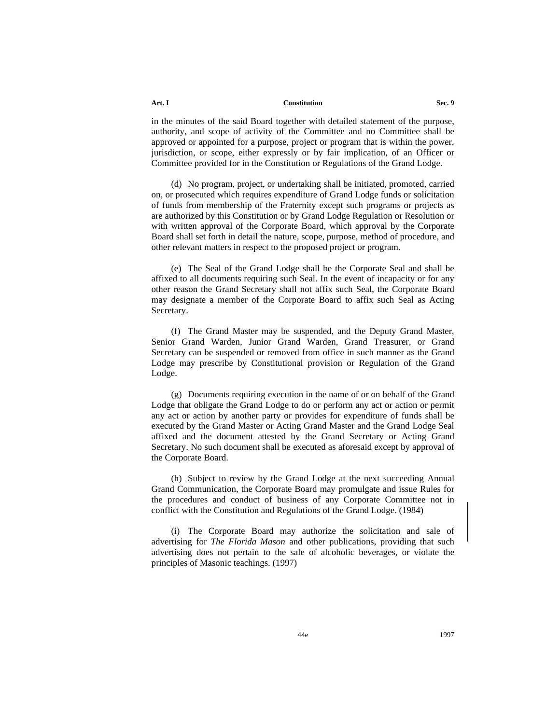# **Art. I Constitution Sec. 9**

in the minutes of the said Board together with detailed statement of the purpose, authority, and scope of activity of the Committee and no Committee shall be approved or appointed for a purpose, project or program that is within the power, jurisdiction, or scope, either expressly or by fair implication, of an Officer or Committee provided for in the Constitution or Regulations of the Grand Lodge.

(d) No program, project, or undertaking shall be initiated, promoted, carried on, or prosecuted which requires expenditure of Grand Lodge funds or solicitation of funds from membership of the Fraternity except such programs or projects as are authorized by this Constitution or by Grand Lodge Regulation or Resolution or with written approval of the Corporate Board, which approval by the Corporate Board shall set forth in detail the nature, scope, purpose, method of procedure, and other relevant matters in respect to the proposed project or program.

(e) The Seal of the Grand Lodge shall be the Corporate Seal and shall be affixed to all documents requiring such Seal. In the event of incapacity or for any other reason the Grand Secretary shall not affix such Seal, the Corporate Board may designate a member of the Corporate Board to affix such Seal as Acting Secretary.

(f) The Grand Master may be suspended, and the Deputy Grand Master, Senior Grand Warden, Junior Grand Warden, Grand Treasurer, or Grand Secretary can be suspended or removed from office in such manner as the Grand Lodge may prescribe by Constitutional provision or Regulation of the Grand Lodge.

(g) Documents requiring execution in the name of or on behalf of the Grand Lodge that obligate the Grand Lodge to do or perform any act or action or permit any act or action by another party or provides for expenditure of funds shall be executed by the Grand Master or Acting Grand Master and the Grand Lodge Seal affixed and the document attested by the Grand Secretary or Acting Grand Secretary. No such document shall be executed as aforesaid except by approval of the Corporate Board.

(h) Subject to review by the Grand Lodge at the next succeeding Annual Grand Communication, the Corporate Board may promulgate and issue Rules for the procedures and conduct of business of any Corporate Committee not in conflict with the Constitution and Regulations of the Grand Lodge. (1984)

(i) The Corporate Board may authorize the solicitation and sale of advertising for *The Florida Mason* and other publications, providing that such advertising does not pertain to the sale of alcoholic beverages, or violate the principles of Masonic teachings. (1997)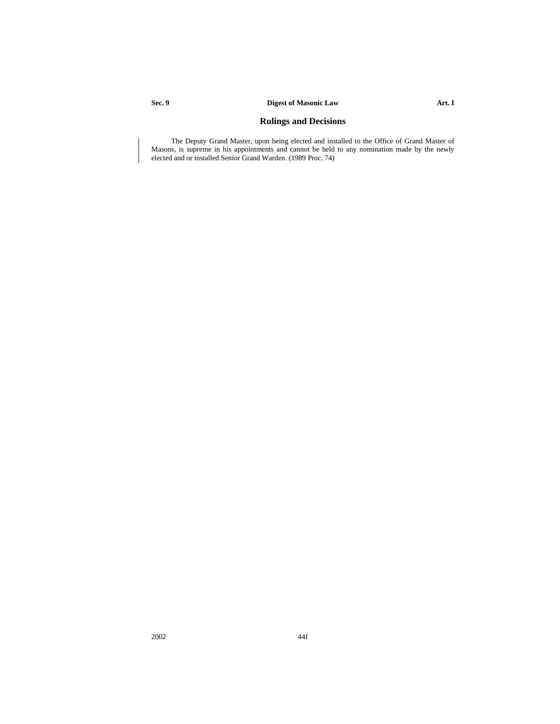# **Sec. 9 Digest of Masonic Law Art. I**

# **Rulings and Decisions**

The Deputy Grand Master, upon being elected and installed to the Office of Grand Master of Masons, is supreme in his appointments and cannot be held to any nomination made by the newly elected and or installed Senior Grand Warden. (1989 Proc. 74)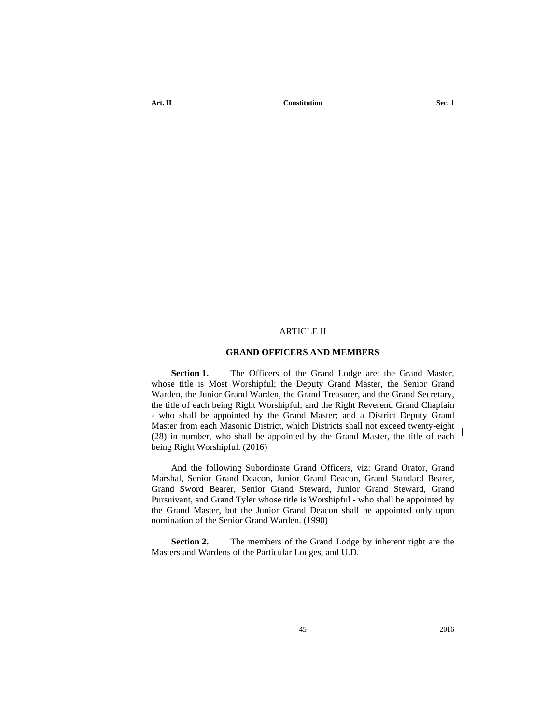**Art. II Constitution Sec. 1**

# ARTICLE II

# **GRAND OFFICERS AND MEMBERS**

Section 1. The Officers of the Grand Lodge are: the Grand Master, whose title is Most Worshipful; the Deputy Grand Master, the Senior Grand Warden, the Junior Grand Warden, the Grand Treasurer, and the Grand Secretary, the title of each being Right Worshipful; and the Right Reverend Grand Chaplain - who shall be appointed by the Grand Master; and a District Deputy Grand Master from each Masonic District, which Districts shall not exceed twenty-eight (28) in number, who shall be appointed by the Grand Master, the title of each being Right Worshipful. (2016)

And the following Subordinate Grand Officers, viz: Grand Orator, Grand Marshal, Senior Grand Deacon, Junior Grand Deacon, Grand Standard Bearer, Grand Sword Bearer, Senior Grand Steward, Junior Grand Steward, Grand Pursuivant, and Grand Tyler whose title is Worshipful - who shall be appointed by the Grand Master, but the Junior Grand Deacon shall be appointed only upon nomination of the Senior Grand Warden. (1990)

**Section 2.** The members of the Grand Lodge by inherent right are the Masters and Wardens of the Particular Lodges, and U.D.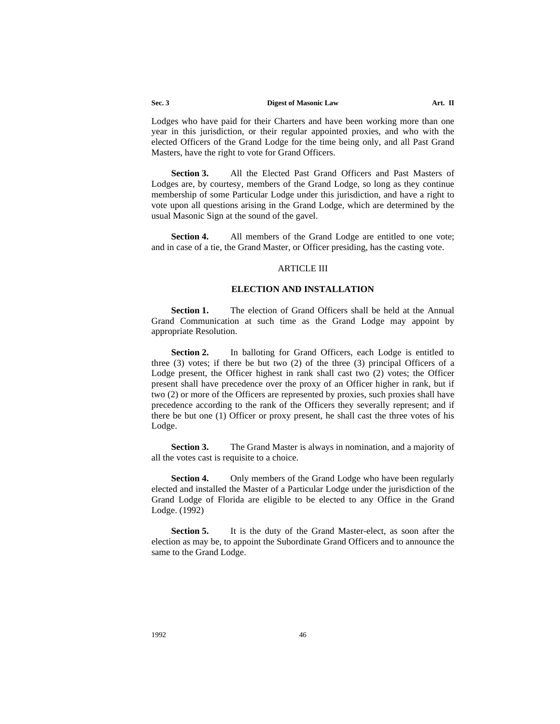#### **Sec. 3 Digest of Masonic Law Art. II**

Lodges who have paid for their Charters and have been working more than one year in this jurisdiction, or their regular appointed proxies, and who with the elected Officers of the Grand Lodge for the time being only, and all Past Grand Masters, have the right to vote for Grand Officers.

**Section 3.** All the Elected Past Grand Officers and Past Masters of Lodges are, by courtesy, members of the Grand Lodge, so long as they continue membership of some Particular Lodge under this jurisdiction, and have a right to vote upon all questions arising in the Grand Lodge, which are determined by the usual Masonic Sign at the sound of the gavel.

**Section 4.** All members of the Grand Lodge are entitled to one vote; and in case of a tie, the Grand Master, or Officer presiding, has the casting vote.

#### ARTICLE III

# **ELECTION AND INSTALLATION**

**Section 1.** The election of Grand Officers shall be held at the Annual Grand Communication at such time as the Grand Lodge may appoint by appropriate Resolution.

Section 2. In balloting for Grand Officers, each Lodge is entitled to three (3) votes; if there be but two (2) of the three (3) principal Officers of a Lodge present, the Officer highest in rank shall cast two (2) votes; the Officer present shall have precedence over the proxy of an Officer higher in rank, but if two (2) or more of the Officers are represented by proxies, such proxies shall have precedence according to the rank of the Officers they severally represent; and if there be but one (1) Officer or proxy present, he shall cast the three votes of his Lodge.

**Section 3.** The Grand Master is always in nomination, and a majority of all the votes cast is requisite to a choice.

**Section 4.** Only members of the Grand Lodge who have been regularly elected and installed the Master of a Particular Lodge under the jurisdiction of the Grand Lodge of Florida are eligible to be elected to any Office in the Grand Lodge. (1992)

**Section 5.** It is the duty of the Grand Master-elect, as soon after the election as may be, to appoint the Subordinate Grand Officers and to announce the same to the Grand Lodge.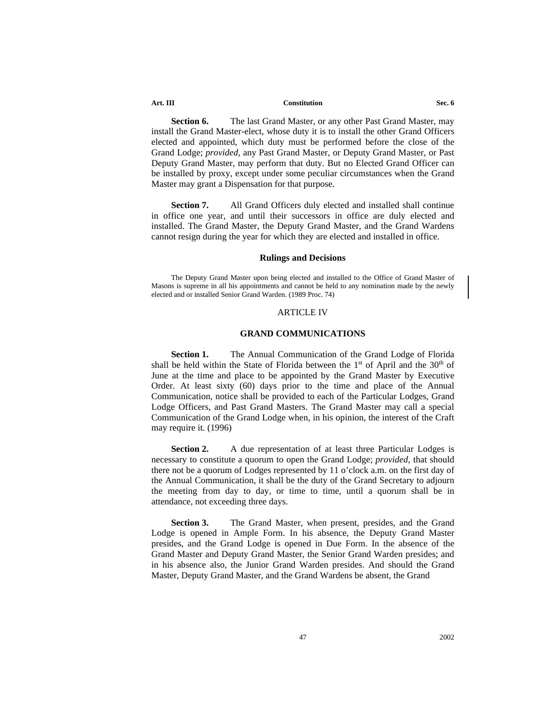# **Art. III Constitution Sec. 6**

**Section 6.** The last Grand Master, or any other Past Grand Master, may install the Grand Master-elect, whose duty it is to install the other Grand Officers elected and appointed, which duty must be performed before the close of the Grand Lodge; *provided,* any Past Grand Master, or Deputy Grand Master, or Past Deputy Grand Master, may perform that duty. But no Elected Grand Officer can be installed by proxy, except under some peculiar circumstances when the Grand Master may grant a Dispensation for that purpose.

Section 7. All Grand Officers duly elected and installed shall continue in office one year, and until their successors in office are duly elected and installed. The Grand Master, the Deputy Grand Master, and the Grand Wardens cannot resign during the year for which they are elected and installed in office.

#### **Rulings and Decisions**

The Deputy Grand Master upon being elected and installed to the Office of Grand Master of Masons is supreme in all his appointments and cannot be held to any nomination made by the newly elected and or installed Senior Grand Warden. (1989 Proc. 74)

# ARTICLE IV

## **GRAND COMMUNICATIONS**

**Section 1.** The Annual Communication of the Grand Lodge of Florida shall be held within the State of Florida between the  $1<sup>st</sup>$  of April and the  $30<sup>th</sup>$  of June at the time and place to be appointed by the Grand Master by Executive Order. At least sixty (60) days prior to the time and place of the Annual Communication, notice shall be provided to each of the Particular Lodges, Grand Lodge Officers, and Past Grand Masters. The Grand Master may call a special Communication of the Grand Lodge when, in his opinion, the interest of the Craft may require it. (1996)

**Section 2.** A due representation of at least three Particular Lodges is necessary to constitute a quorum to open the Grand Lodge; *provided,* that should there not be a quorum of Lodges represented by 11 o'clock a.m. on the first day of the Annual Communication, it shall be the duty of the Grand Secretary to adjourn the meeting from day to day, or time to time, until a quorum shall be in attendance, not exceeding three days.

**Section 3.** The Grand Master, when present, presides, and the Grand Lodge is opened in Ample Form. In his absence, the Deputy Grand Master presides, and the Grand Lodge is opened in Due Form. In the absence of the Grand Master and Deputy Grand Master, the Senior Grand Warden presides; and in his absence also, the Junior Grand Warden presides. And should the Grand Master, Deputy Grand Master, and the Grand Wardens be absent, the Grand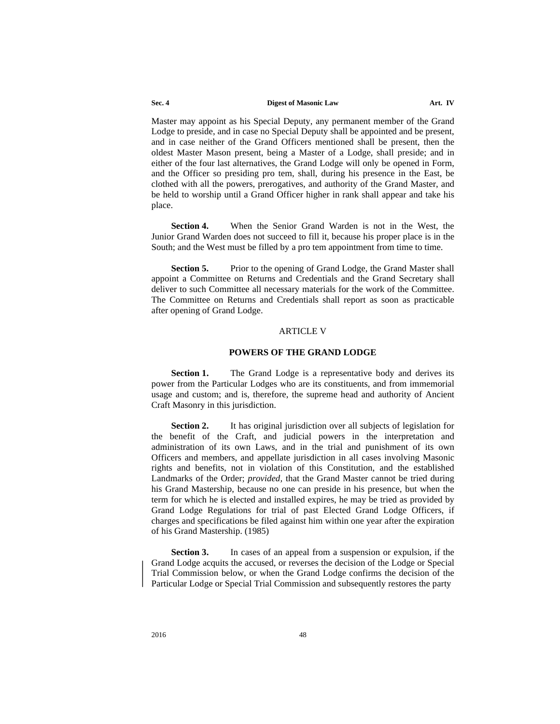#### **Sec. 4 Digest of Masonic Law Art. IV**

Master may appoint as his Special Deputy, any permanent member of the Grand Lodge to preside, and in case no Special Deputy shall be appointed and be present, and in case neither of the Grand Officers mentioned shall be present, then the oldest Master Mason present, being a Master of a Lodge, shall preside; and in either of the four last alternatives, the Grand Lodge will only be opened in Form, and the Officer so presiding pro tem, shall, during his presence in the East, be clothed with all the powers, prerogatives, and authority of the Grand Master, and be held to worship until a Grand Officer higher in rank shall appear and take his place.

**Section 4.** When the Senior Grand Warden is not in the West, the Junior Grand Warden does not succeed to fill it, because his proper place is in the South; and the West must be filled by a pro tem appointment from time to time.

**Section 5.** Prior to the opening of Grand Lodge, the Grand Master shall appoint a Committee on Returns and Credentials and the Grand Secretary shall deliver to such Committee all necessary materials for the work of the Committee. The Committee on Returns and Credentials shall report as soon as practicable after opening of Grand Lodge.

# ARTICLE V

# **POWERS OF THE GRAND LODGE**

**Section 1.** The Grand Lodge is a representative body and derives its power from the Particular Lodges who are its constituents, and from immemorial usage and custom; and is, therefore, the supreme head and authority of Ancient Craft Masonry in this jurisdiction.

**Section 2.** It has original jurisdiction over all subjects of legislation for the benefit of the Craft, and judicial powers in the interpretation and administration of its own Laws, and in the trial and punishment of its own Officers and members, and appellate jurisdiction in all cases involving Masonic rights and benefits, not in violation of this Constitution, and the established Landmarks of the Order; *provided,* that the Grand Master cannot be tried during his Grand Mastership, because no one can preside in his presence, but when the term for which he is elected and installed expires, he may be tried as provided by Grand Lodge Regulations for trial of past Elected Grand Lodge Officers, if charges and specifications be filed against him within one year after the expiration of his Grand Mastership. (1985)

**Section 3.** In cases of an appeal from a suspension or expulsion, if the Grand Lodge acquits the accused, or reverses the decision of the Lodge or Special Trial Commission below, or when the Grand Lodge confirms the decision of the Particular Lodge or Special Trial Commission and subsequently restores the party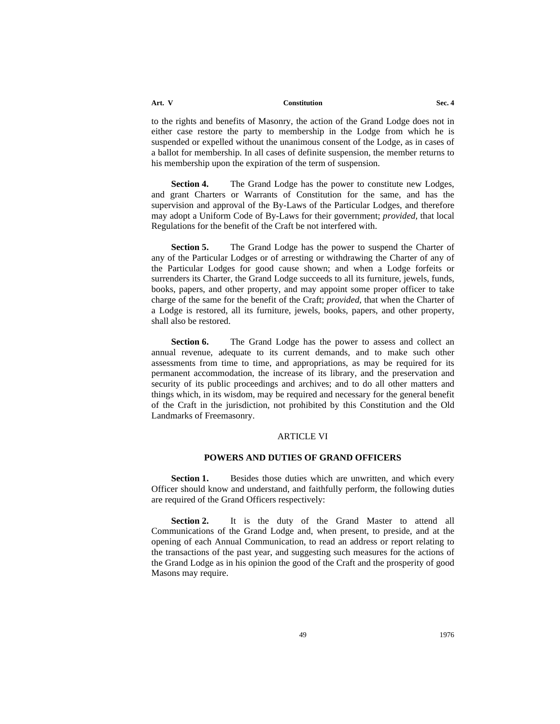# **Art. V Constitution Sec. 4**

to the rights and benefits of Masonry, the action of the Grand Lodge does not in either case restore the party to membership in the Lodge from which he is suspended or expelled without the unanimous consent of the Lodge, as in cases of a ballot for membership. In all cases of definite suspension, the member returns to his membership upon the expiration of the term of suspension.

**Section 4.** The Grand Lodge has the power to constitute new Lodges, and grant Charters or Warrants of Constitution for the same, and has the supervision and approval of the By-Laws of the Particular Lodges, and therefore may adopt a Uniform Code of By-Laws for their government; *provided,* that local Regulations for the benefit of the Craft be not interfered with.

**Section 5.** The Grand Lodge has the power to suspend the Charter of any of the Particular Lodges or of arresting or withdrawing the Charter of any of the Particular Lodges for good cause shown; and when a Lodge forfeits or surrenders its Charter, the Grand Lodge succeeds to all its furniture, jewels, funds, books, papers, and other property, and may appoint some proper officer to take charge of the same for the benefit of the Craft; *provided,* that when the Charter of a Lodge is restored, all its furniture, jewels, books, papers, and other property, shall also be restored.

**Section 6.** The Grand Lodge has the power to assess and collect an annual revenue, adequate to its current demands, and to make such other assessments from time to time, and appropriations, as may be required for its permanent accommodation, the increase of its library, and the preservation and security of its public proceedings and archives; and to do all other matters and things which, in its wisdom, may be required and necessary for the general benefit of the Craft in the jurisdiction, not prohibited by this Constitution and the Old Landmarks of Freemasonry.

# ARTICLE VI

# **POWERS AND DUTIES OF GRAND OFFICERS**

**Section 1.** Besides those duties which are unwritten, and which every Officer should know and understand, and faithfully perform, the following duties are required of the Grand Officers respectively:

**Section 2.** It is the duty of the Grand Master to attend all Communications of the Grand Lodge and, when present, to preside, and at the opening of each Annual Communication, to read an address or report relating to the transactions of the past year, and suggesting such measures for the actions of the Grand Lodge as in his opinion the good of the Craft and the prosperity of good Masons may require.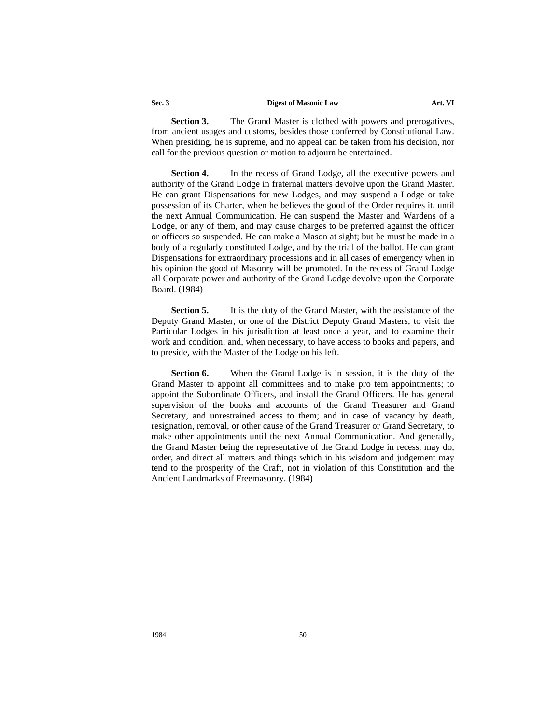#### **Sec. 3 Digest of Masonic Law Art. VI**

**Section 3.** The Grand Master is clothed with powers and prerogatives, from ancient usages and customs, besides those conferred by Constitutional Law. When presiding, he is supreme, and no appeal can be taken from his decision, nor call for the previous question or motion to adjourn be entertained.

**Section 4.** In the recess of Grand Lodge, all the executive powers and authority of the Grand Lodge in fraternal matters devolve upon the Grand Master. He can grant Dispensations for new Lodges, and may suspend a Lodge or take possession of its Charter, when he believes the good of the Order requires it, until the next Annual Communication. He can suspend the Master and Wardens of a Lodge, or any of them, and may cause charges to be preferred against the officer or officers so suspended. He can make a Mason at sight; but he must be made in a body of a regularly constituted Lodge, and by the trial of the ballot. He can grant Dispensations for extraordinary processions and in all cases of emergency when in his opinion the good of Masonry will be promoted. In the recess of Grand Lodge all Corporate power and authority of the Grand Lodge devolve upon the Corporate Board. (1984)

**Section 5.** It is the duty of the Grand Master, with the assistance of the Deputy Grand Master, or one of the District Deputy Grand Masters, to visit the Particular Lodges in his jurisdiction at least once a year, and to examine their work and condition; and, when necessary, to have access to books and papers, and to preside, with the Master of the Lodge on his left.

**Section 6.** When the Grand Lodge is in session, it is the duty of the Grand Master to appoint all committees and to make pro tem appointments; to appoint the Subordinate Officers, and install the Grand Officers. He has general supervision of the books and accounts of the Grand Treasurer and Grand Secretary, and unrestrained access to them; and in case of vacancy by death, resignation, removal, or other cause of the Grand Treasurer or Grand Secretary, to make other appointments until the next Annual Communication. And generally, the Grand Master being the representative of the Grand Lodge in recess, may do, order, and direct all matters and things which in his wisdom and judgement may tend to the prosperity of the Craft, not in violation of this Constitution and the Ancient Landmarks of Freemasonry. (1984)

1984 50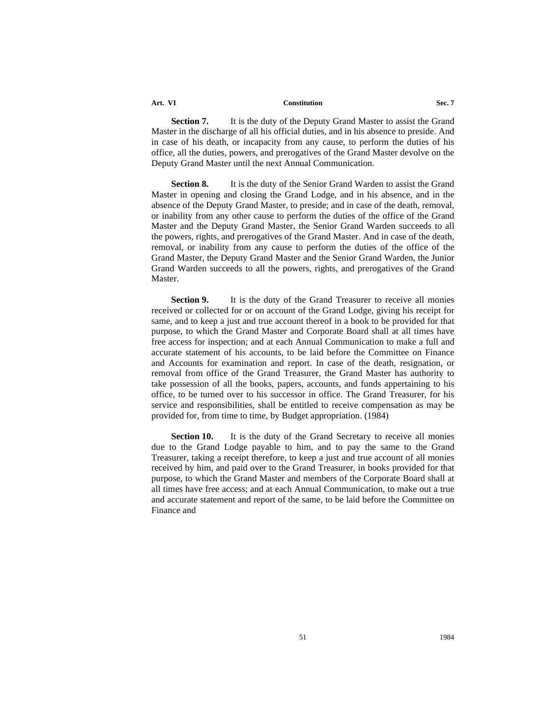# **Art. VI Constitution Sec. 7**

**Section 7.** It is the duty of the Deputy Grand Master to assist the Grand Master in the discharge of all his official duties, and in his absence to preside. And in case of his death, or incapacity from any cause, to perform the duties of his office, all the duties, powers, and prerogatives of the Grand Master devolve on the Deputy Grand Master until the next Annual Communication.

**Section 8.** It is the duty of the Senior Grand Warden to assist the Grand Master in opening and closing the Grand Lodge, and in his absence, and in the absence of the Deputy Grand Master, to preside; and in case of the death, removal, or inability from any other cause to perform the duties of the office of the Grand Master and the Deputy Grand Master, the Senior Grand Warden succeeds to all the powers, rights, and prerogatives of the Grand Master. And in case of the death, removal, or inability from any cause to perform the duties of the office of the Grand Master, the Deputy Grand Master and the Senior Grand Warden, the Junior Grand Warden succeeds to all the powers, rights, and prerogatives of the Grand Master.

**Section 9.** It is the duty of the Grand Treasurer to receive all monies received or collected for or on account of the Grand Lodge, giving his receipt for same, and to keep a just and true account thereof in a book to be provided for that purpose, to which the Grand Master and Corporate Board shall at all times have free access for inspection; and at each Annual Communication to make a full and accurate statement of his accounts, to be laid before the Committee on Finance and Accounts for examination and report. In case of the death, resignation, or removal from office of the Grand Treasurer, the Grand Master has authority to take possession of all the books, papers, accounts, and funds appertaining to his office, to be turned over to his successor in office. The Grand Treasurer, for his service and responsibilities, shall be entitled to receive compensation as may be provided for, from time to time, by Budget appropriation. (1984)

**Section 10.** It is the duty of the Grand Secretary to receive all monies due to the Grand Lodge payable to him, and to pay the same to the Grand Treasurer, taking a receipt therefore, to keep a just and true account of all monies received by him, and paid over to the Grand Treasurer, in books provided for that purpose, to which the Grand Master and members of the Corporate Board shall at all times have free access; and at each Annual Communication, to make out a true and accurate statement and report of the same, to be laid before the Committee on Finance and

51 1984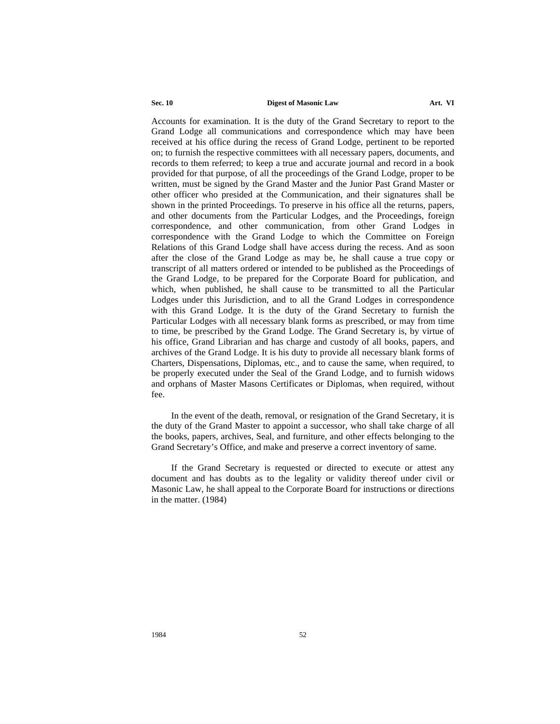#### **Sec. 10 Digest of Masonic Law Art. VI**

Accounts for examination. It is the duty of the Grand Secretary to report to the Grand Lodge all communications and correspondence which may have been received at his office during the recess of Grand Lodge, pertinent to be reported on; to furnish the respective committees with all necessary papers, documents, and records to them referred; to keep a true and accurate journal and record in a book provided for that purpose, of all the proceedings of the Grand Lodge, proper to be written, must be signed by the Grand Master and the Junior Past Grand Master or other officer who presided at the Communication, and their signatures shall be shown in the printed Proceedings. To preserve in his office all the returns, papers, and other documents from the Particular Lodges, and the Proceedings, foreign correspondence, and other communication, from other Grand Lodges in correspondence with the Grand Lodge to which the Committee on Foreign Relations of this Grand Lodge shall have access during the recess. And as soon after the close of the Grand Lodge as may be, he shall cause a true copy or transcript of all matters ordered or intended to be published as the Proceedings of the Grand Lodge, to be prepared for the Corporate Board for publication, and which, when published, he shall cause to be transmitted to all the Particular Lodges under this Jurisdiction, and to all the Grand Lodges in correspondence with this Grand Lodge. It is the duty of the Grand Secretary to furnish the Particular Lodges with all necessary blank forms as prescribed, or may from time to time, be prescribed by the Grand Lodge. The Grand Secretary is, by virtue of his office, Grand Librarian and has charge and custody of all books, papers, and archives of the Grand Lodge. It is his duty to provide all necessary blank forms of Charters, Dispensations, Diplomas, etc., and to cause the same, when required, to be properly executed under the Seal of the Grand Lodge, and to furnish widows and orphans of Master Masons Certificates or Diplomas, when required, without fee.

In the event of the death, removal, or resignation of the Grand Secretary, it is the duty of the Grand Master to appoint a successor, who shall take charge of all the books, papers, archives, Seal, and furniture, and other effects belonging to the Grand Secretary's Office, and make and preserve a correct inventory of same.

If the Grand Secretary is requested or directed to execute or attest any document and has doubts as to the legality or validity thereof under civil or Masonic Law, he shall appeal to the Corporate Board for instructions or directions in the matter. (1984)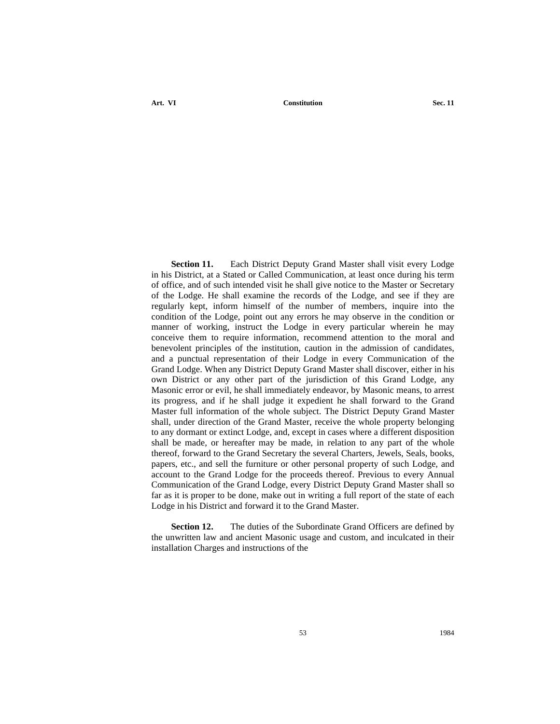Art. VI **Constitution Sec. 11** 

**Section 11.** Each District Deputy Grand Master shall visit every Lodge in his District, at a Stated or Called Communication, at least once during his term of office, and of such intended visit he shall give notice to the Master or Secretary of the Lodge. He shall examine the records of the Lodge, and see if they are regularly kept, inform himself of the number of members, inquire into the condition of the Lodge, point out any errors he may observe in the condition or manner of working, instruct the Lodge in every particular wherein he may conceive them to require information, recommend attention to the moral and benevolent principles of the institution, caution in the admission of candidates, and a punctual representation of their Lodge in every Communication of the Grand Lodge. When any District Deputy Grand Master shall discover, either in his own District or any other part of the jurisdiction of this Grand Lodge, any Masonic error or evil, he shall immediately endeavor, by Masonic means, to arrest its progress, and if he shall judge it expedient he shall forward to the Grand Master full information of the whole subject. The District Deputy Grand Master shall, under direction of the Grand Master, receive the whole property belonging to any dormant or extinct Lodge, and, except in cases where a different disposition shall be made, or hereafter may be made, in relation to any part of the whole thereof, forward to the Grand Secretary the several Charters, Jewels, Seals, books, papers, etc., and sell the furniture or other personal property of such Lodge, and account to the Grand Lodge for the proceeds thereof. Previous to every Annual Communication of the Grand Lodge, every District Deputy Grand Master shall so far as it is proper to be done, make out in writing a full report of the state of each Lodge in his District and forward it to the Grand Master.

**Section 12.** The duties of the Subordinate Grand Officers are defined by the unwritten law and ancient Masonic usage and custom, and inculcated in their installation Charges and instructions of the

53 1984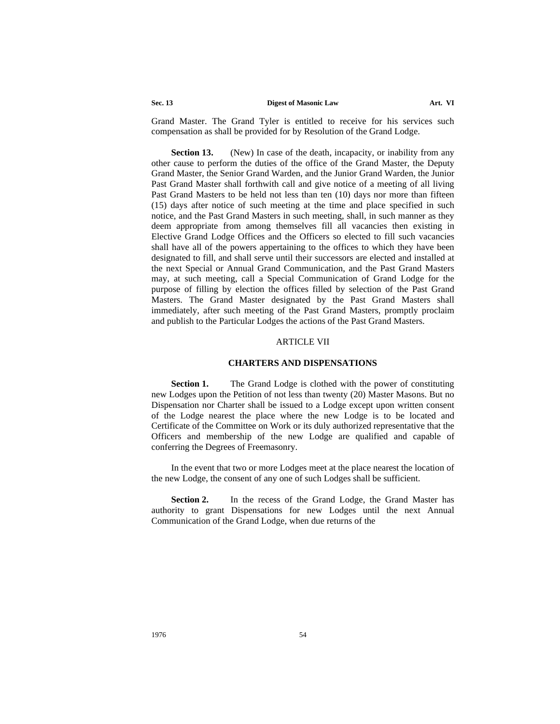#### **Sec. 13 Digest of Masonic Law Art. VI**

Grand Master. The Grand Tyler is entitled to receive for his services such compensation as shall be provided for by Resolution of the Grand Lodge.

**Section 13.** (New) In case of the death, incapacity, or inability from any other cause to perform the duties of the office of the Grand Master, the Deputy Grand Master, the Senior Grand Warden, and the Junior Grand Warden, the Junior Past Grand Master shall forthwith call and give notice of a meeting of all living Past Grand Masters to be held not less than ten (10) days nor more than fifteen (15) days after notice of such meeting at the time and place specified in such notice, and the Past Grand Masters in such meeting, shall, in such manner as they deem appropriate from among themselves fill all vacancies then existing in Elective Grand Lodge Offices and the Officers so elected to fill such vacancies shall have all of the powers appertaining to the offices to which they have been designated to fill, and shall serve until their successors are elected and installed at the next Special or Annual Grand Communication, and the Past Grand Masters may, at such meeting, call a Special Communication of Grand Lodge for the purpose of filling by election the offices filled by selection of the Past Grand Masters. The Grand Master designated by the Past Grand Masters shall immediately, after such meeting of the Past Grand Masters, promptly proclaim and publish to the Particular Lodges the actions of the Past Grand Masters.

# ARTICLE VII

# **CHARTERS AND DISPENSATIONS**

**Section 1.** The Grand Lodge is clothed with the power of constituting new Lodges upon the Petition of not less than twenty (20) Master Masons. But no Dispensation nor Charter shall be issued to a Lodge except upon written consent of the Lodge nearest the place where the new Lodge is to be located and Certificate of the Committee on Work or its duly authorized representative that the Officers and membership of the new Lodge are qualified and capable of conferring the Degrees of Freemasonry.

In the event that two or more Lodges meet at the place nearest the location of the new Lodge, the consent of any one of such Lodges shall be sufficient.

**Section 2.** In the recess of the Grand Lodge, the Grand Master has authority to grant Dispensations for new Lodges until the next Annual Communication of the Grand Lodge, when due returns of the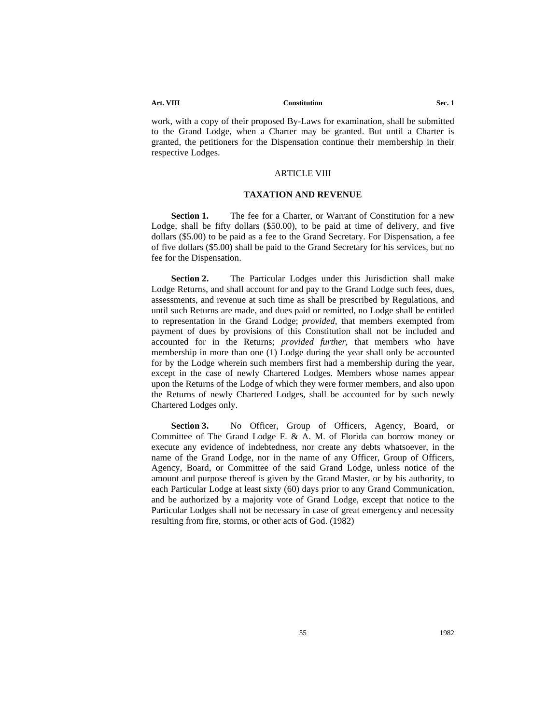#### **Art. VIII Constitution Sec. 1**

work, with a copy of their proposed By-Laws for examination, shall be submitted to the Grand Lodge, when a Charter may be granted. But until a Charter is granted, the petitioners for the Dispensation continue their membership in their respective Lodges.

# ARTICLE VIII

# **TAXATION AND REVENUE**

**Section 1.** The fee for a Charter, or Warrant of Constitution for a new Lodge, shall be fifty dollars (\$50.00), to be paid at time of delivery, and five dollars (\$5.00) to be paid as a fee to the Grand Secretary. For Dispensation, a fee of five dollars (\$5.00) shall be paid to the Grand Secretary for his services, but no fee for the Dispensation.

**Section 2.** The Particular Lodges under this Jurisdiction shall make Lodge Returns, and shall account for and pay to the Grand Lodge such fees, dues, assessments, and revenue at such time as shall be prescribed by Regulations, and until such Returns are made, and dues paid or remitted, no Lodge shall be entitled to representation in the Grand Lodge; *provided,* that members exempted from payment of dues by provisions of this Constitution shall not be included and accounted for in the Returns; *provided further,* that members who have membership in more than one (1) Lodge during the year shall only be accounted for by the Lodge wherein such members first had a membership during the year, except in the case of newly Chartered Lodges. Members whose names appear upon the Returns of the Lodge of which they were former members, and also upon the Returns of newly Chartered Lodges, shall be accounted for by such newly Chartered Lodges only.

Section 3. No Officer, Group of Officers, Agency, Board, or Committee of The Grand Lodge F. & A. M. of Florida can borrow money or execute any evidence of indebtedness, nor create any debts whatsoever, in the name of the Grand Lodge, nor in the name of any Officer, Group of Officers, Agency, Board, or Committee of the said Grand Lodge, unless notice of the amount and purpose thereof is given by the Grand Master, or by his authority, to each Particular Lodge at least sixty (60) days prior to any Grand Communication, and be authorized by a majority vote of Grand Lodge, except that notice to the Particular Lodges shall not be necessary in case of great emergency and necessity resulting from fire, storms, or other acts of God. (1982)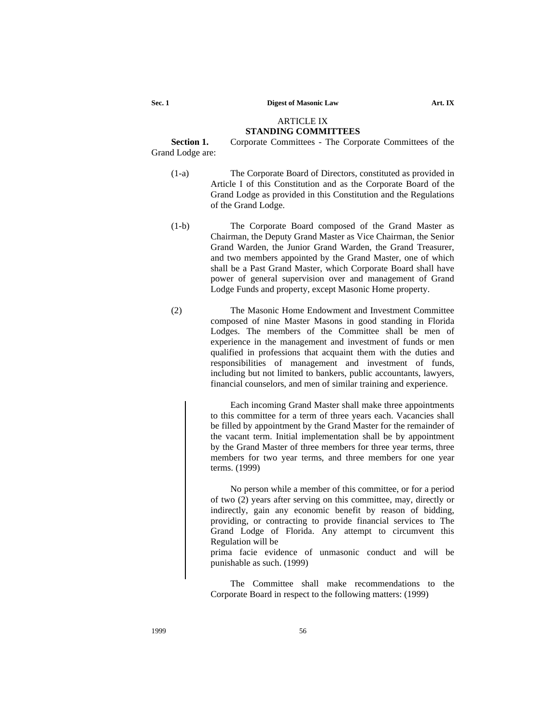# ARTICLE IX

# **STANDING COMMITTEES Section 1.** Corporate Committees - The Corporate Committees of the

Grand Lodge are:

- (1-a) The Corporate Board of Directors, constituted as provided in Article I of this Constitution and as the Corporate Board of the Grand Lodge as provided in this Constitution and the Regulations of the Grand Lodge.
- (1-b) The Corporate Board composed of the Grand Master as Chairman, the Deputy Grand Master as Vice Chairman, the Senior Grand Warden, the Junior Grand Warden, the Grand Treasurer, and two members appointed by the Grand Master, one of which shall be a Past Grand Master, which Corporate Board shall have power of general supervision over and management of Grand Lodge Funds and property, except Masonic Home property.
- 

(2) The Masonic Home Endowment and Investment Committee composed of nine Master Masons in good standing in Florida Lodges. The members of the Committee shall be men of experience in the management and investment of funds or men qualified in professions that acquaint them with the duties and responsibilities of management and investment of funds, including but not limited to bankers, public accountants, lawyers, financial counselors, and men of similar training and experience.

> Each incoming Grand Master shall make three appointments to this committee for a term of three years each. Vacancies shall be filled by appointment by the Grand Master for the remainder of the vacant term. Initial implementation shall be by appointment by the Grand Master of three members for three year terms, three members for two year terms, and three members for one year terms. (1999)

> No person while a member of this committee, or for a period of two (2) years after serving on this committee, may, directly or indirectly, gain any economic benefit by reason of bidding, providing, or contracting to provide financial services to The Grand Lodge of Florida. Any attempt to circumvent this Regulation will be

> prima facie evidence of unmasonic conduct and will be punishable as such. (1999)

> The Committee shall make recommendations to the Corporate Board in respect to the following matters: (1999)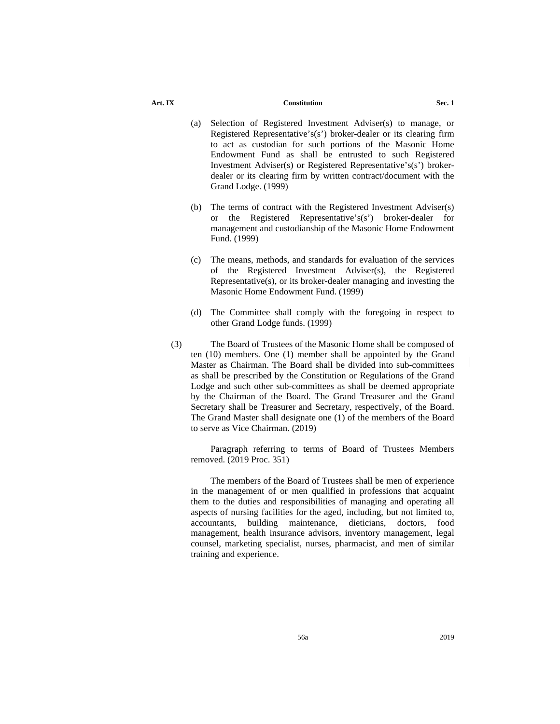#### **Art. IX Constitution Sec. 1**

- (a) Selection of Registered Investment Adviser(s) to manage, or Registered Representative's(s') broker-dealer or its clearing firm to act as custodian for such portions of the Masonic Home Endowment Fund as shall be entrusted to such Registered Investment Adviser(s) or Registered Representative's(s') brokerdealer or its clearing firm by written contract/document with the Grand Lodge. (1999)
- (b) The terms of contract with the Registered Investment Adviser(s) or the Registered Representative's(s') broker-dealer for management and custodianship of the Masonic Home Endowment Fund. (1999)
- (c) The means, methods, and standards for evaluation of the services of the Registered Investment Adviser(s), the Registered Representative(s), or its broker-dealer managing and investing the Masonic Home Endowment Fund. (1999)
- (d) The Committee shall comply with the foregoing in respect to other Grand Lodge funds. (1999)
- (3) The Board of Trustees of the Masonic Home shall be composed of ten (10) members. One (1) member shall be appointed by the Grand Master as Chairman. The Board shall be divided into sub-committees as shall be prescribed by the Constitution or Regulations of the Grand Lodge and such other sub-committees as shall be deemed appropriate by the Chairman of the Board. The Grand Treasurer and the Grand Secretary shall be Treasurer and Secretary, respectively, of the Board. The Grand Master shall designate one (1) of the members of the Board to serve as Vice Chairman. (2019)

Paragraph referring to terms of Board of Trustees Members removed. (2019 Proc. 351)

The members of the Board of Trustees shall be men of experience in the management of or men qualified in professions that acquaint them to the duties and responsibilities of managing and operating all aspects of nursing facilities for the aged, including, but not limited to, accountants, building maintenance, dieticians, doctors, food management, health insurance advisors, inventory management, legal counsel, marketing specialist, nurses, pharmacist, and men of similar training and experience.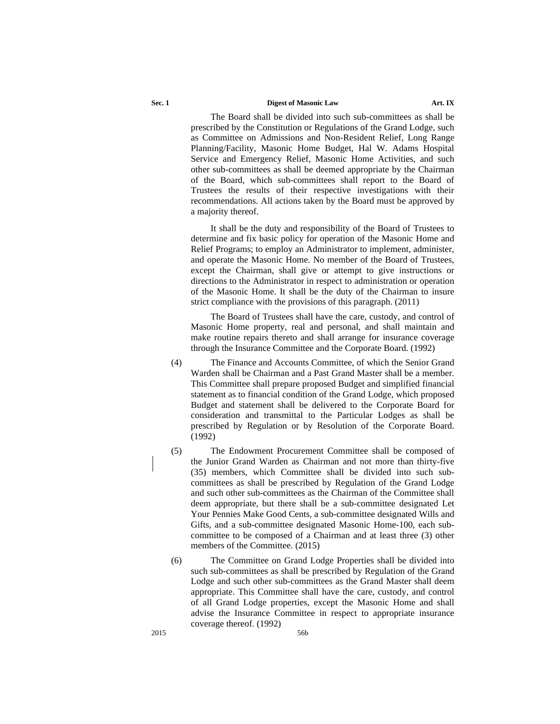#### **Sec. 1 Digest of Masonic Law Art. IX**

The Board shall be divided into such sub-committees as shall be prescribed by the Constitution or Regulations of the Grand Lodge, such as Committee on Admissions and Non-Resident Relief, Long Range Planning/Facility, Masonic Home Budget, Hal W. Adams Hospital Service and Emergency Relief, Masonic Home Activities, and such other sub-committees as shall be deemed appropriate by the Chairman of the Board, which sub-committees shall report to the Board of Trustees the results of their respective investigations with their recommendations. All actions taken by the Board must be approved by a majority thereof.

It shall be the duty and responsibility of the Board of Trustees to determine and fix basic policy for operation of the Masonic Home and Relief Programs; to employ an Administrator to implement, administer, and operate the Masonic Home. No member of the Board of Trustees, except the Chairman, shall give or attempt to give instructions or directions to the Administrator in respect to administration or operation of the Masonic Home. It shall be the duty of the Chairman to insure strict compliance with the provisions of this paragraph. (2011)

The Board of Trustees shall have the care, custody, and control of Masonic Home property, real and personal, and shall maintain and make routine repairs thereto and shall arrange for insurance coverage through the Insurance Committee and the Corporate Board. (1992)

- (4) The Finance and Accounts Committee, of which the Senior Grand Warden shall be Chairman and a Past Grand Master shall be a member. This Committee shall prepare proposed Budget and simplified financial statement as to financial condition of the Grand Lodge, which proposed Budget and statement shall be delivered to the Corporate Board for consideration and transmittal to the Particular Lodges as shall be prescribed by Regulation or by Resolution of the Corporate Board. (1992)
- (5) The Endowment Procurement Committee shall be composed of the Junior Grand Warden as Chairman and not more than thirty-five (35) members, which Committee shall be divided into such subcommittees as shall be prescribed by Regulation of the Grand Lodge and such other sub-committees as the Chairman of the Committee shall deem appropriate, but there shall be a sub-committee designated Let Your Pennies Make Good Cents, a sub-committee designated Wills and Gifts, and a sub-committee designated Masonic Home-100, each subcommittee to be composed of a Chairman and at least three (3) other members of the Committee. (2015)
- (6) The Committee on Grand Lodge Properties shall be divided into such sub-committees as shall be prescribed by Regulation of the Grand Lodge and such other sub-committees as the Grand Master shall deem appropriate. This Committee shall have the care, custody, and control of all Grand Lodge properties, except the Masonic Home and shall advise the Insurance Committee in respect to appropriate insurance coverage thereof. (1992)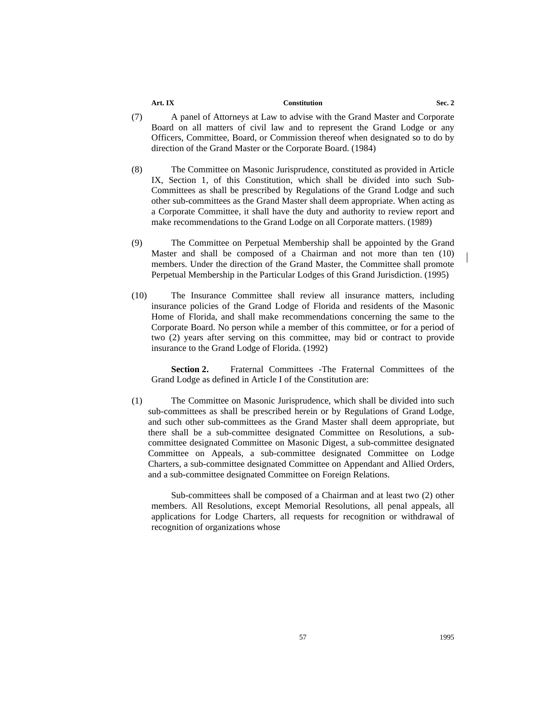# **Art. IX Constitution Sec. 2**

- (7) A panel of Attorneys at Law to advise with the Grand Master and Corporate Board on all matters of civil law and to represent the Grand Lodge or any Officers, Committee, Board, or Commission thereof when designated so to do by direction of the Grand Master or the Corporate Board. (1984)
- (8) The Committee on Masonic Jurisprudence, constituted as provided in Article IX, Section 1, of this Constitution, which shall be divided into such Sub-Committees as shall be prescribed by Regulations of the Grand Lodge and such other sub-committees as the Grand Master shall deem appropriate. When acting as a Corporate Committee, it shall have the duty and authority to review report and make recommendations to the Grand Lodge on all Corporate matters. (1989)
- (9) The Committee on Perpetual Membership shall be appointed by the Grand Master and shall be composed of a Chairman and not more than ten (10) members. Under the direction of the Grand Master, the Committee shall promote Perpetual Membership in the Particular Lodges of this Grand Jurisdiction. (1995)
- (10) The Insurance Committee shall review all insurance matters, including insurance policies of the Grand Lodge of Florida and residents of the Masonic Home of Florida, and shall make recommendations concerning the same to the Corporate Board. No person while a member of this committee, or for a period of two (2) years after serving on this committee, may bid or contract to provide insurance to the Grand Lodge of Florida. (1992)

**Section 2.** Fraternal Committees -The Fraternal Committees of the Grand Lodge as defined in Article I of the Constitution are:

(1) The Committee on Masonic Jurisprudence, which shall be divided into such sub-committees as shall be prescribed herein or by Regulations of Grand Lodge, and such other sub-committees as the Grand Master shall deem appropriate, but there shall be a sub-committee designated Committee on Resolutions, a subcommittee designated Committee on Masonic Digest, a sub-committee designated Committee on Appeals, a sub-committee designated Committee on Lodge Charters, a sub-committee designated Committee on Appendant and Allied Orders, and a sub-committee designated Committee on Foreign Relations.

Sub-committees shall be composed of a Chairman and at least two (2) other members. All Resolutions, except Memorial Resolutions, all penal appeals, all applications for Lodge Charters, all requests for recognition or withdrawal of recognition of organizations whose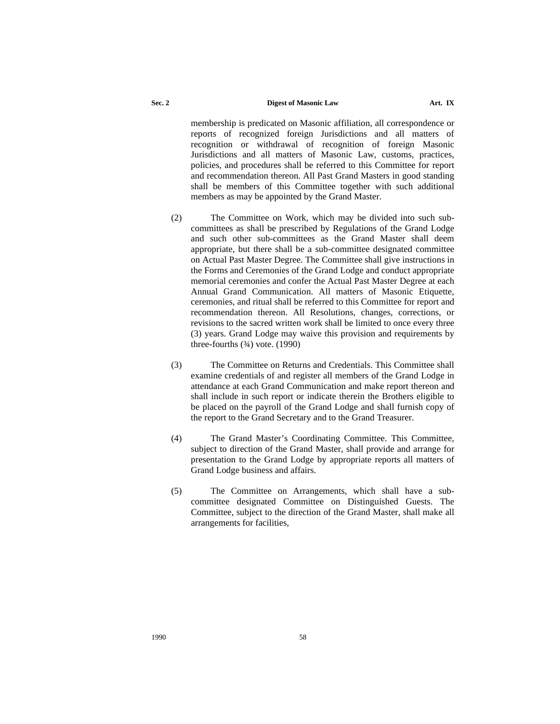#### **Sec. 2 Digest of Masonic Law Art. IX**

membership is predicated on Masonic affiliation, all correspondence or reports of recognized foreign Jurisdictions and all matters of recognition or withdrawal of recognition of foreign Masonic Jurisdictions and all matters of Masonic Law, customs, practices, policies, and procedures shall be referred to this Committee for report and recommendation thereon. All Past Grand Masters in good standing shall be members of this Committee together with such additional members as may be appointed by the Grand Master.

- (2) The Committee on Work, which may be divided into such subcommittees as shall be prescribed by Regulations of the Grand Lodge and such other sub-committees as the Grand Master shall deem appropriate, but there shall be a sub-committee designated committee on Actual Past Master Degree. The Committee shall give instructions in the Forms and Ceremonies of the Grand Lodge and conduct appropriate memorial ceremonies and confer the Actual Past Master Degree at each Annual Grand Communication. All matters of Masonic Etiquette, ceremonies, and ritual shall be referred to this Committee for report and recommendation thereon. All Resolutions, changes, corrections, or revisions to the sacred written work shall be limited to once every three (3) years. Grand Lodge may waive this provision and requirements by three-fourths  $(34)$  vote.  $(1990)$
- (3) The Committee on Returns and Credentials. This Committee shall examine credentials of and register all members of the Grand Lodge in attendance at each Grand Communication and make report thereon and shall include in such report or indicate therein the Brothers eligible to be placed on the payroll of the Grand Lodge and shall furnish copy of the report to the Grand Secretary and to the Grand Treasurer.
- (4) The Grand Master's Coordinating Committee. This Committee, subject to direction of the Grand Master, shall provide and arrange for presentation to the Grand Lodge by appropriate reports all matters of Grand Lodge business and affairs.
- (5) The Committee on Arrangements, which shall have a subcommittee designated Committee on Distinguished Guests. The Committee, subject to the direction of the Grand Master, shall make all arrangements for facilities,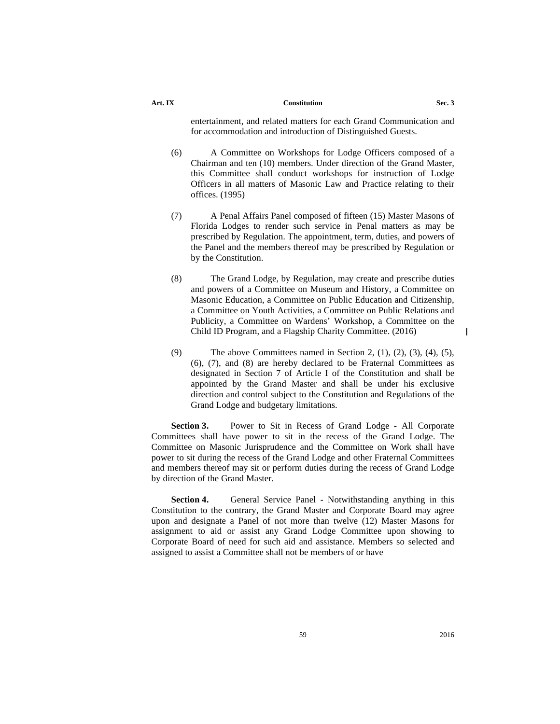#### **Art. IX Constitution Sec. 3**

 $\overline{\phantom{a}}$ 

entertainment, and related matters for each Grand Communication and for accommodation and introduction of Distinguished Guests.

- (6) A Committee on Workshops for Lodge Officers composed of a Chairman and ten (10) members. Under direction of the Grand Master, this Committee shall conduct workshops for instruction of Lodge Officers in all matters of Masonic Law and Practice relating to their offices. (1995)
- (7) A Penal Affairs Panel composed of fifteen (15) Master Masons of Florida Lodges to render such service in Penal matters as may be prescribed by Regulation. The appointment, term, duties, and powers of the Panel and the members thereof may be prescribed by Regulation or by the Constitution.
- (8) The Grand Lodge, by Regulation, may create and prescribe duties and powers of a Committee on Museum and History, a Committee on Masonic Education, a Committee on Public Education and Citizenship, a Committee on Youth Activities, a Committee on Public Relations and Publicity, a Committee on Wardens' Workshop, a Committee on the Child ID Program, and a Flagship Charity Committee. (2016)
- (9) The above Committees named in Section 2, (1), (2), (3), (4), (5), (6), (7), and (8) are hereby declared to be Fraternal Committees as designated in Section 7 of Article I of the Constitution and shall be appointed by the Grand Master and shall be under his exclusive direction and control subject to the Constitution and Regulations of the Grand Lodge and budgetary limitations.

**Section 3.** Power to Sit in Recess of Grand Lodge - All Corporate Committees shall have power to sit in the recess of the Grand Lodge. The Committee on Masonic Jurisprudence and the Committee on Work shall have power to sit during the recess of the Grand Lodge and other Fraternal Committees and members thereof may sit or perform duties during the recess of Grand Lodge by direction of the Grand Master.

**Section 4.** General Service Panel - Notwithstanding anything in this Constitution to the contrary, the Grand Master and Corporate Board may agree upon and designate a Panel of not more than twelve (12) Master Masons for assignment to aid or assist any Grand Lodge Committee upon showing to Corporate Board of need for such aid and assistance. Members so selected and assigned to assist a Committee shall not be members of or have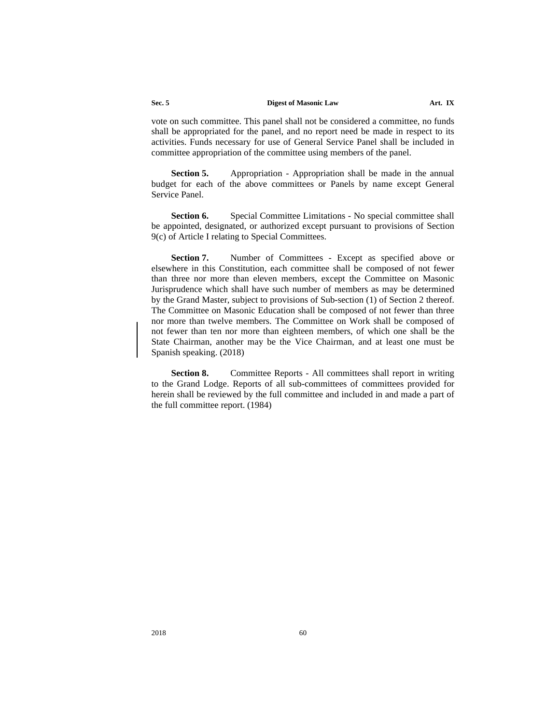#### **Sec. 5 Digest of Masonic Law Art. IX**

vote on such committee. This panel shall not be considered a committee, no funds shall be appropriated for the panel, and no report need be made in respect to its activities. Funds necessary for use of General Service Panel shall be included in committee appropriation of the committee using members of the panel.

**Section 5.** Appropriation - Appropriation shall be made in the annual budget for each of the above committees or Panels by name except General Service Panel.

**Section 6.** Special Committee Limitations - No special committee shall be appointed, designated, or authorized except pursuant to provisions of Section 9(c) of Article I relating to Special Committees.

**Section 7.** Number of Committees - Except as specified above or elsewhere in this Constitution, each committee shall be composed of not fewer than three nor more than eleven members, except the Committee on Masonic Jurisprudence which shall have such number of members as may be determined by the Grand Master, subject to provisions of Sub-section (1) of Section 2 thereof. The Committee on Masonic Education shall be composed of not fewer than three nor more than twelve members. The Committee on Work shall be composed of not fewer than ten nor more than eighteen members, of which one shall be the State Chairman, another may be the Vice Chairman, and at least one must be Spanish speaking. (2018)

**Section 8.** Committee Reports - All committees shall report in writing to the Grand Lodge. Reports of all sub-committees of committees provided for herein shall be reviewed by the full committee and included in and made a part of the full committee report. (1984)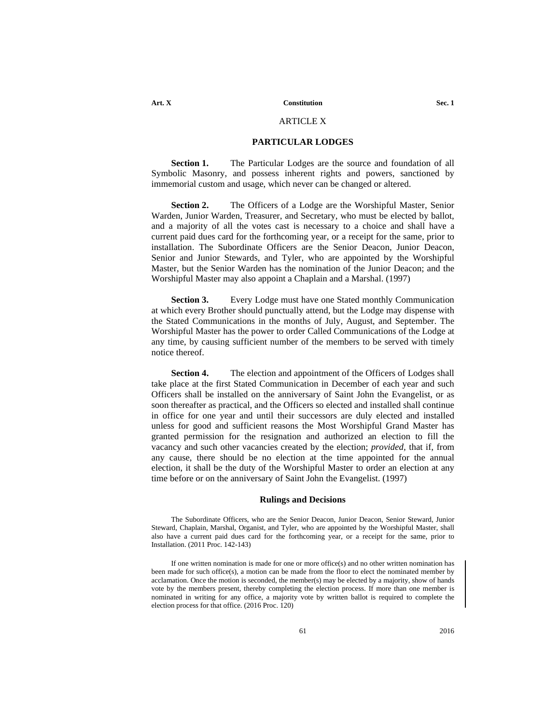### ARTICLE X

#### **PARTICULAR LODGES**

Section 1. The Particular Lodges are the source and foundation of all Symbolic Masonry, and possess inherent rights and powers, sanctioned by immemorial custom and usage, which never can be changed or altered.

**Section 2.** The Officers of a Lodge are the Worshipful Master, Senior Warden, Junior Warden, Treasurer, and Secretary, who must be elected by ballot, and a majority of all the votes cast is necessary to a choice and shall have a current paid dues card for the forthcoming year, or a receipt for the same, prior to installation. The Subordinate Officers are the Senior Deacon, Junior Deacon, Senior and Junior Stewards, and Tyler, who are appointed by the Worshipful Master, but the Senior Warden has the nomination of the Junior Deacon; and the Worshipful Master may also appoint a Chaplain and a Marshal. (1997)

**Section 3.** Every Lodge must have one Stated monthly Communication at which every Brother should punctually attend, but the Lodge may dispense with the Stated Communications in the months of July, August, and September. The Worshipful Master has the power to order Called Communications of the Lodge at any time, by causing sufficient number of the members to be served with timely notice thereof.

**Section 4.** The election and appointment of the Officers of Lodges shall take place at the first Stated Communication in December of each year and such Officers shall be installed on the anniversary of Saint John the Evangelist, or as soon thereafter as practical, and the Officers so elected and installed shall continue in office for one year and until their successors are duly elected and installed unless for good and sufficient reasons the Most Worshipful Grand Master has granted permission for the resignation and authorized an election to fill the vacancy and such other vacancies created by the election; *provided,* that if, from any cause, there should be no election at the time appointed for the annual election, it shall be the duty of the Worshipful Master to order an election at any time before or on the anniversary of Saint John the Evangelist. (1997)

#### **Rulings and Decisions**

The Subordinate Officers, who are the Senior Deacon, Junior Deacon, Senior Steward, Junior Steward, Chaplain, Marshal, Organist, and Tyler, who are appointed by the Worshipful Master, shall also have a current paid dues card for the forthcoming year, or a receipt for the same, prior to Installation. (2011 Proc. 142-143)

If one written nomination is made for one or more office(s) and no other written nomination has been made for such office(s), a motion can be made from the floor to elect the nominated member by acclamation. Once the motion is seconded, the member(s) may be elected by a majority, show of hands vote by the members present, thereby completing the election process. If more than one member is nominated in writing for any office, a majority vote by written ballot is required to complete the election process for that office. (2016 Proc. 120)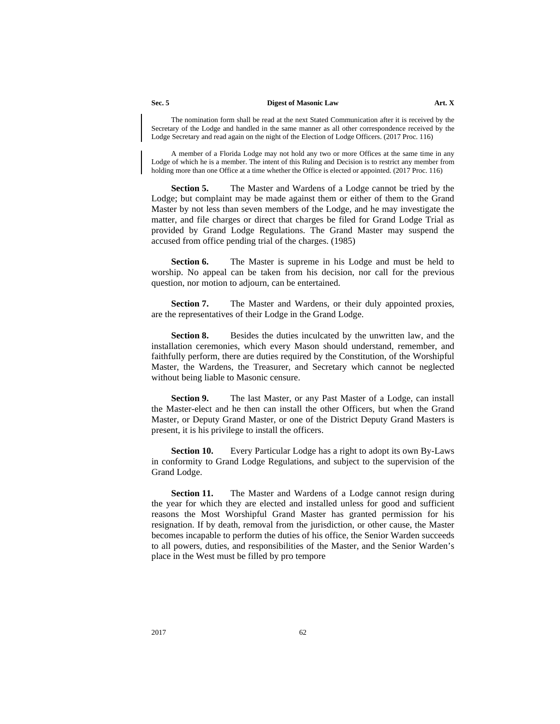#### **Sec. 5 Digest of Masonic Law Art. X**

The nomination form shall be read at the next Stated Communication after it is received by the Secretary of the Lodge and handled in the same manner as all other correspondence received by the Lodge Secretary and read again on the night of the Election of Lodge Officers. (2017 Proc. 116)

A member of a Florida Lodge may not hold any two or more Offices at the same time in any Lodge of which he is a member. The intent of this Ruling and Decision is to restrict any member from holding more than one Office at a time whether the Office is elected or appointed. (2017 Proc. 116)

**Section 5.** The Master and Wardens of a Lodge cannot be tried by the Lodge; but complaint may be made against them or either of them to the Grand Master by not less than seven members of the Lodge, and he may investigate the matter, and file charges or direct that charges be filed for Grand Lodge Trial as provided by Grand Lodge Regulations. The Grand Master may suspend the accused from office pending trial of the charges. (1985)

**Section 6.** The Master is supreme in his Lodge and must be held to worship. No appeal can be taken from his decision, nor call for the previous question, nor motion to adjourn, can be entertained.

**Section 7.** The Master and Wardens, or their duly appointed proxies, are the representatives of their Lodge in the Grand Lodge.

**Section 8.** Besides the duties inculcated by the unwritten law, and the installation ceremonies, which every Mason should understand, remember, and faithfully perform, there are duties required by the Constitution, of the Worshipful Master, the Wardens, the Treasurer, and Secretary which cannot be neglected without being liable to Masonic censure.

**Section 9.** The last Master, or any Past Master of a Lodge, can install the Master-elect and he then can install the other Officers, but when the Grand Master, or Deputy Grand Master, or one of the District Deputy Grand Masters is present, it is his privilege to install the officers.

**Section 10.** Every Particular Lodge has a right to adopt its own By-Laws in conformity to Grand Lodge Regulations, and subject to the supervision of the Grand Lodge.

**Section 11.** The Master and Wardens of a Lodge cannot resign during the year for which they are elected and installed unless for good and sufficient reasons the Most Worshipful Grand Master has granted permission for his resignation. If by death, removal from the jurisdiction, or other cause, the Master becomes incapable to perform the duties of his office, the Senior Warden succeeds to all powers, duties, and responsibilities of the Master, and the Senior Warden's place in the West must be filled by pro tempore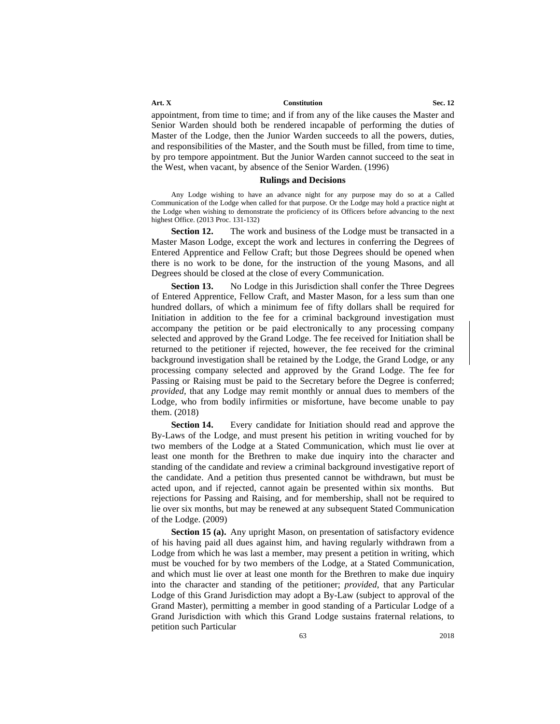# Art. X **Constitution Sec. 12**

appointment, from time to time; and if from any of the like causes the Master and Senior Warden should both be rendered incapable of performing the duties of Master of the Lodge, then the Junior Warden succeeds to all the powers, duties, and responsibilities of the Master, and the South must be filled, from time to time, by pro tempore appointment. But the Junior Warden cannot succeed to the seat in the West, when vacant, by absence of the Senior Warden. (1996)

# **Rulings and Decisions**

Any Lodge wishing to have an advance night for any purpose may do so at a Called Communication of the Lodge when called for that purpose. Or the Lodge may hold a practice night at the Lodge when wishing to demonstrate the proficiency of its Officers before advancing to the next highest Office. (2013 Proc. 131-132)

**Section 12.** The work and business of the Lodge must be transacted in a Master Mason Lodge, except the work and lectures in conferring the Degrees of Entered Apprentice and Fellow Craft; but those Degrees should be opened when there is no work to be done, for the instruction of the young Masons, and all Degrees should be closed at the close of every Communication.

Section 13. No Lodge in this Jurisdiction shall confer the Three Degrees of Entered Apprentice, Fellow Craft, and Master Mason, for a less sum than one hundred dollars, of which a minimum fee of fifty dollars shall be required for Initiation in addition to the fee for a criminal background investigation must accompany the petition or be paid electronically to any processing company selected and approved by the Grand Lodge. The fee received for Initiation shall be returned to the petitioner if rejected, however, the fee received for the criminal background investigation shall be retained by the Lodge, the Grand Lodge, or any processing company selected and approved by the Grand Lodge. The fee for Passing or Raising must be paid to the Secretary before the Degree is conferred; *provided,* that any Lodge may remit monthly or annual dues to members of the Lodge, who from bodily infirmities or misfortune, have become unable to pay them. (2018)

**Section 14.** Every candidate for Initiation should read and approve the By-Laws of the Lodge, and must present his petition in writing vouched for by two members of the Lodge at a Stated Communication, which must lie over at least one month for the Brethren to make due inquiry into the character and standing of the candidate and review a criminal background investigative report of the candidate. And a petition thus presented cannot be withdrawn, but must be acted upon, and if rejected, cannot again be presented within six months. But rejections for Passing and Raising, and for membership, shall not be required to lie over six months, but may be renewed at any subsequent Stated Communication of the Lodge. (2009)

**Section 15 (a).** Any upright Mason, on presentation of satisfactory evidence of his having paid all dues against him, and having regularly withdrawn from a Lodge from which he was last a member, may present a petition in writing, which must be vouched for by two members of the Lodge, at a Stated Communication, and which must lie over at least one month for the Brethren to make due inquiry into the character and standing of the petitioner; *provided*, that any Particular Lodge of this Grand Jurisdiction may adopt a By-Law (subject to approval of the Grand Master), permitting a member in good standing of a Particular Lodge of a Grand Jurisdiction with which this Grand Lodge sustains fraternal relations, to petition such Particular

63 2018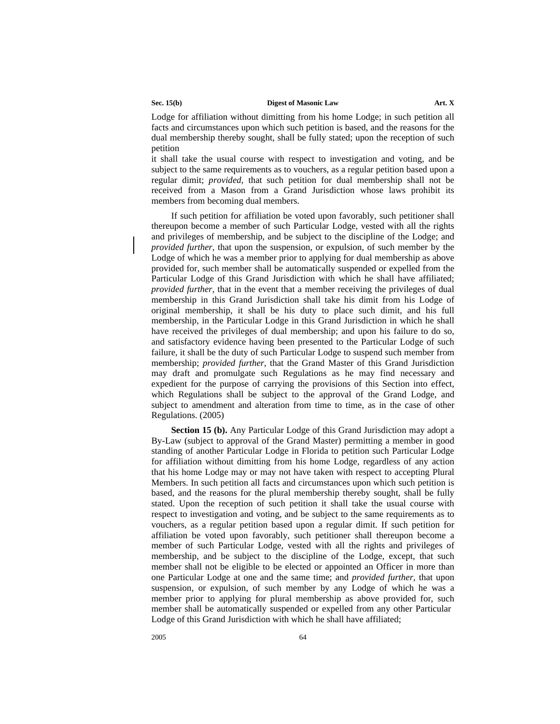Lodge for affiliation without dimitting from his home Lodge; in such petition all facts and circumstances upon which such petition is based, and the reasons for the dual membership thereby sought, shall be fully stated; upon the reception of such petition

it shall take the usual course with respect to investigation and voting, and be subject to the same requirements as to vouchers, as a regular petition based upon a regular dimit; *provided*, that such petition for dual membership shall not be received from a Mason from a Grand Jurisdiction whose laws prohibit its members from becoming dual members.

If such petition for affiliation be voted upon favorably, such petitioner shall thereupon become a member of such Particular Lodge, vested with all the rights and privileges of membership, and be subject to the discipline of the Lodge; and *provided further,* that upon the suspension, or expulsion, of such member by the Lodge of which he was a member prior to applying for dual membership as above provided for, such member shall be automatically suspended or expelled from the Particular Lodge of this Grand Jurisdiction with which he shall have affiliated; *provided further,* that in the event that a member receiving the privileges of dual membership in this Grand Jurisdiction shall take his dimit from his Lodge of original membership, it shall be his duty to place such dimit, and his full membership, in the Particular Lodge in this Grand Jurisdiction in which he shall have received the privileges of dual membership; and upon his failure to do so, and satisfactory evidence having been presented to the Particular Lodge of such failure, it shall be the duty of such Particular Lodge to suspend such member from membership; *provided further,* that the Grand Master of this Grand Jurisdiction may draft and promulgate such Regulations as he may find necessary and expedient for the purpose of carrying the provisions of this Section into effect, which Regulations shall be subject to the approval of the Grand Lodge, and subject to amendment and alteration from time to time, as in the case of other Regulations. (2005)

**Section 15 (b).** Any Particular Lodge of this Grand Jurisdiction may adopt a By-Law (subject to approval of the Grand Master) permitting a member in good standing of another Particular Lodge in Florida to petition such Particular Lodge for affiliation without dimitting from his home Lodge, regardless of any action that his home Lodge may or may not have taken with respect to accepting Plural Members. In such petition all facts and circumstances upon which such petition is based, and the reasons for the plural membership thereby sought, shall be fully stated. Upon the reception of such petition it shall take the usual course with respect to investigation and voting, and be subject to the same requirements as to vouchers, as a regular petition based upon a regular dimit. If such petition for affiliation be voted upon favorably, such petitioner shall thereupon become a member of such Particular Lodge, vested with all the rights and privileges of membership, and be subject to the discipline of the Lodge, except, that such member shall not be eligible to be elected or appointed an Officer in more than one Particular Lodge at one and the same time; and *provided further,* that upon suspension, or expulsion, of such member by any Lodge of which he was a member prior to applying for plural membership as above provided for, such member shall be automatically suspended or expelled from any other Particular Lodge of this Grand Jurisdiction with which he shall have affiliated;

2005 64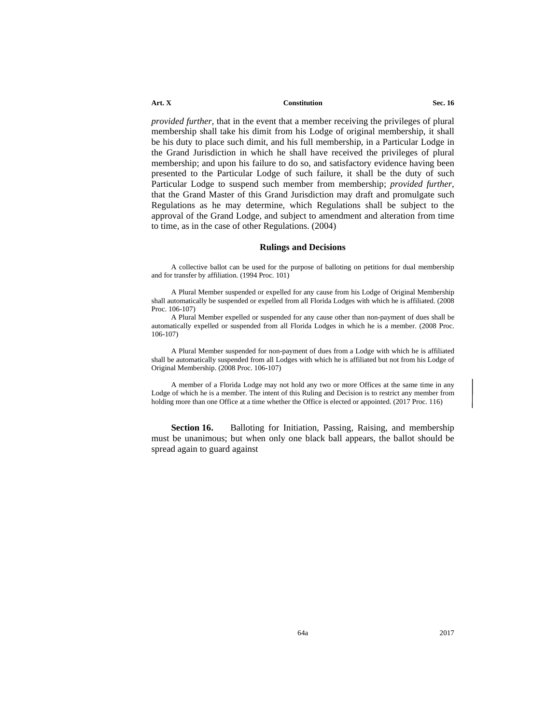#### Art. X **Constitution Sec. 16**

*provided further,* that in the event that a member receiving the privileges of plural membership shall take his dimit from his Lodge of original membership, it shall be his duty to place such dimit, and his full membership, in a Particular Lodge in the Grand Jurisdiction in which he shall have received the privileges of plural membership; and upon his failure to do so, and satisfactory evidence having been presented to the Particular Lodge of such failure, it shall be the duty of such Particular Lodge to suspend such member from membership; *provided further,* that the Grand Master of this Grand Jurisdiction may draft and promulgate such Regulations as he may determine, which Regulations shall be subject to the approval of the Grand Lodge, and subject to amendment and alteration from time to time, as in the case of other Regulations. (2004)

#### **Rulings and Decisions**

A collective ballot can be used for the purpose of balloting on petitions for dual membership and for transfer by affiliation. (1994 Proc. 101)

A Plural Member suspended or expelled for any cause from his Lodge of Original Membership shall automatically be suspended or expelled from all Florida Lodges with which he is affiliated. (2008 Proc. 106-107)

A Plural Member expelled or suspended for any cause other than non-payment of dues shall be automatically expelled or suspended from all Florida Lodges in which he is a member. (2008 Proc. 106-107)

A Plural Member suspended for non-payment of dues from a Lodge with which he is affiliated shall be automatically suspended from all Lodges with which he is affiliated but not from his Lodge of Original Membership. (2008 Proc. 106-107)

A member of a Florida Lodge may not hold any two or more Offices at the same time in any Lodge of which he is a member. The intent of this Ruling and Decision is to restrict any member from holding more than one Office at a time whether the Office is elected or appointed. (2017 Proc. 116)

**Section 16.** Balloting for Initiation, Passing, Raising, and membership must be unanimous; but when only one black ball appears, the ballot should be spread again to guard against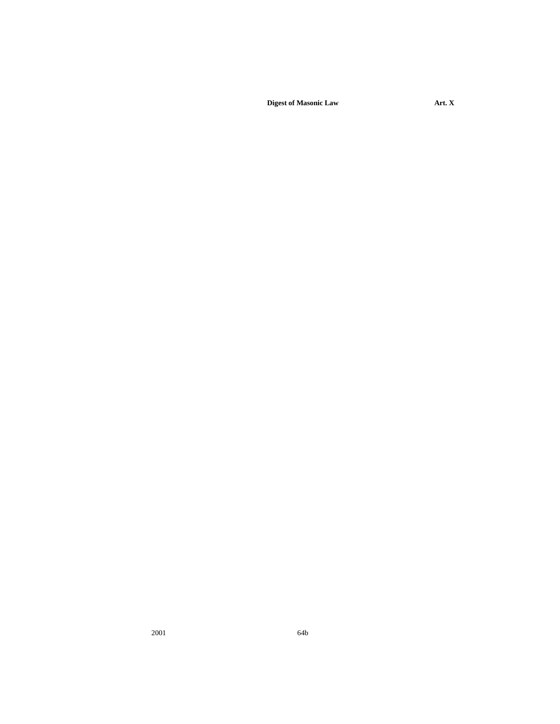**Digest of Masonic Law Art. X**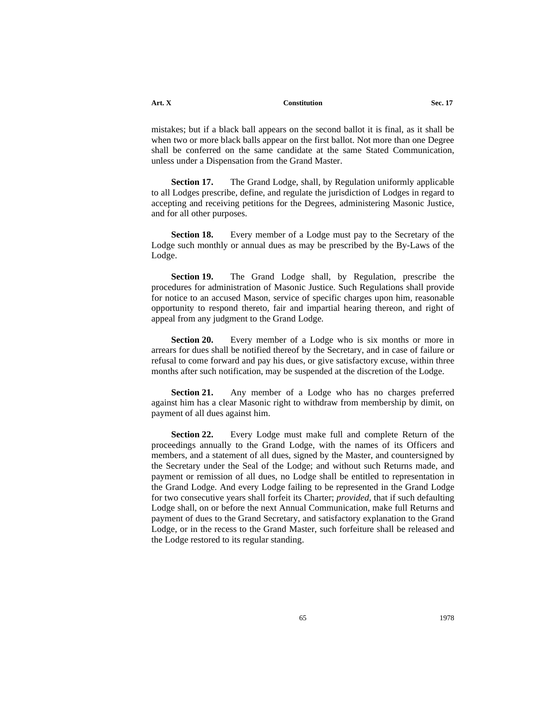#### Art. X **Constitution Sec. 17**

mistakes; but if a black ball appears on the second ballot it is final, as it shall be when two or more black balls appear on the first ballot. Not more than one Degree shall be conferred on the same candidate at the same Stated Communication, unless under a Dispensation from the Grand Master.

**Section 17.** The Grand Lodge, shall, by Regulation uniformly applicable to all Lodges prescribe, define, and regulate the jurisdiction of Lodges in regard to accepting and receiving petitions for the Degrees, administering Masonic Justice, and for all other purposes.

**Section 18.** Every member of a Lodge must pay to the Secretary of the Lodge such monthly or annual dues as may be prescribed by the By-Laws of the Lodge.

**Section 19.** The Grand Lodge shall, by Regulation, prescribe the procedures for administration of Masonic Justice. Such Regulations shall provide for notice to an accused Mason, service of specific charges upon him, reasonable opportunity to respond thereto, fair and impartial hearing thereon, and right of appeal from any judgment to the Grand Lodge.

**Section 20.** Every member of a Lodge who is six months or more in arrears for dues shall be notified thereof by the Secretary, and in case of failure or refusal to come forward and pay his dues, or give satisfactory excuse, within three months after such notification, may be suspended at the discretion of the Lodge.

**Section 21.** Any member of a Lodge who has no charges preferred against him has a clear Masonic right to withdraw from membership by dimit, on payment of all dues against him.

**Section 22.** Every Lodge must make full and complete Return of the proceedings annually to the Grand Lodge, with the names of its Officers and members, and a statement of all dues, signed by the Master, and countersigned by the Secretary under the Seal of the Lodge; and without such Returns made, and payment or remission of all dues, no Lodge shall be entitled to representation in the Grand Lodge. And every Lodge failing to be represented in the Grand Lodge for two consecutive years shall forfeit its Charter; *provided*, that if such defaulting Lodge shall, on or before the next Annual Communication, make full Returns and payment of dues to the Grand Secretary, and satisfactory explanation to the Grand Lodge, or in the recess to the Grand Master, such forfeiture shall be released and the Lodge restored to its regular standing.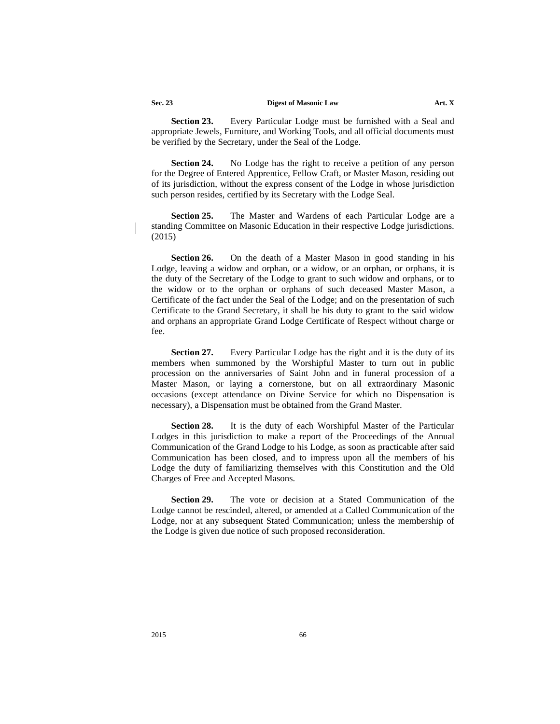#### **Sec. 23 Digest of Masonic Law Art. X**

**Section 23.** Every Particular Lodge must be furnished with a Seal and appropriate Jewels, Furniture, and Working Tools, and all official documents must be verified by the Secretary, under the Seal of the Lodge.

**Section 24.** No Lodge has the right to receive a petition of any person for the Degree of Entered Apprentice, Fellow Craft, or Master Mason, residing out of its jurisdiction, without the express consent of the Lodge in whose jurisdiction such person resides, certified by its Secretary with the Lodge Seal.

**Section 25.** The Master and Wardens of each Particular Lodge are a standing Committee on Masonic Education in their respective Lodge jurisdictions. (2015)

**Section 26.** On the death of a Master Mason in good standing in his Lodge, leaving a widow and orphan, or a widow, or an orphan, or orphans, it is the duty of the Secretary of the Lodge to grant to such widow and orphans, or to the widow or to the orphan or orphans of such deceased Master Mason, a Certificate of the fact under the Seal of the Lodge; and on the presentation of such Certificate to the Grand Secretary, it shall be his duty to grant to the said widow and orphans an appropriate Grand Lodge Certificate of Respect without charge or fee.

**Section 27.** Every Particular Lodge has the right and it is the duty of its members when summoned by the Worshipful Master to turn out in public procession on the anniversaries of Saint John and in funeral procession of a Master Mason, or laying a cornerstone, but on all extraordinary Masonic occasions (except attendance on Divine Service for which no Dispensation is necessary), a Dispensation must be obtained from the Grand Master.

**Section 28.** It is the duty of each Worshipful Master of the Particular Lodges in this jurisdiction to make a report of the Proceedings of the Annual Communication of the Grand Lodge to his Lodge, as soon as practicable after said Communication has been closed, and to impress upon all the members of his Lodge the duty of familiarizing themselves with this Constitution and the Old Charges of Free and Accepted Masons.

**Section 29.** The vote or decision at a Stated Communication of the Lodge cannot be rescinded, altered, or amended at a Called Communication of the Lodge, nor at any subsequent Stated Communication; unless the membership of the Lodge is given due notice of such proposed reconsideration.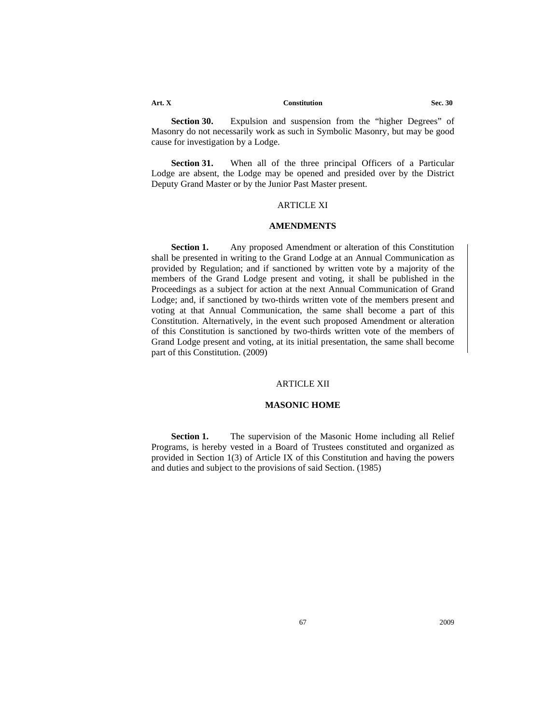#### Art. X **Constitution Sec. 30**

**Section 30.** Expulsion and suspension from the "higher Degrees" of Masonry do not necessarily work as such in Symbolic Masonry, but may be good cause for investigation by a Lodge.

**Section 31.** When all of the three principal Officers of a Particular Lodge are absent, the Lodge may be opened and presided over by the District Deputy Grand Master or by the Junior Past Master present.

# ARTICLE XI

## **AMENDMENTS**

**Section 1.** Any proposed Amendment or alteration of this Constitution shall be presented in writing to the Grand Lodge at an Annual Communication as provided by Regulation; and if sanctioned by written vote by a majority of the members of the Grand Lodge present and voting, it shall be published in the Proceedings as a subject for action at the next Annual Communication of Grand Lodge; and, if sanctioned by two-thirds written vote of the members present and voting at that Annual Communication, the same shall become a part of this Constitution. Alternatively, in the event such proposed Amendment or alteration of this Constitution is sanctioned by two-thirds written vote of the members of Grand Lodge present and voting, at its initial presentation, the same shall become part of this Constitution. (2009)

# ARTICLE XII

# **MASONIC HOME**

**Section 1.** The supervision of the Masonic Home including all Relief Programs, is hereby vested in a Board of Trustees constituted and organized as provided in Section 1(3) of Article IX of this Constitution and having the powers and duties and subject to the provisions of said Section. (1985)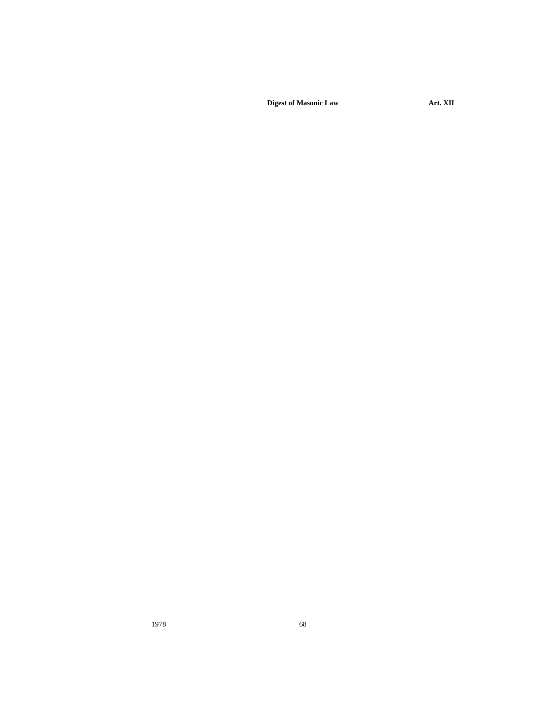**Digest of Masonic Law Art. XII**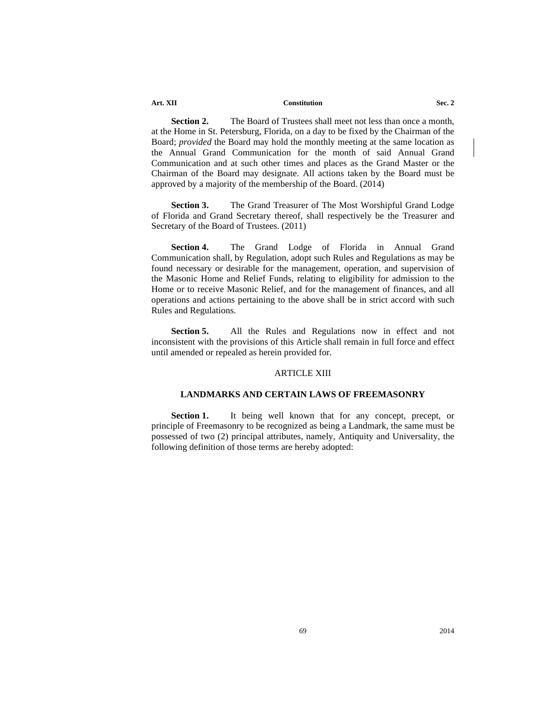# **Art. XII Constitution Sec. 2**

Section 2. The Board of Trustees shall meet not less than once a month, at the Home in St. Petersburg, Florida, on a day to be fixed by the Chairman of the Board; *provided* the Board may hold the monthly meeting at the same location as the Annual Grand Communication for the month of said Annual Grand Communication and at such other times and places as the Grand Master or the Chairman of the Board may designate. All actions taken by the Board must be approved by a majority of the membership of the Board. (2014)

**Section 3.** The Grand Treasurer of The Most Worshipful Grand Lodge of Florida and Grand Secretary thereof, shall respectively be the Treasurer and Secretary of the Board of Trustees. (2011)

**Section 4.** The Grand Lodge of Florida in Annual Grand Communication shall, by Regulation, adopt such Rules and Regulations as may be found necessary or desirable for the management, operation, and supervision of the Masonic Home and Relief Funds, relating to eligibility for admission to the Home or to receive Masonic Relief, and for the management of finances, and all operations and actions pertaining to the above shall be in strict accord with such Rules and Regulations.

**Section 5.** All the Rules and Regulations now in effect and not inconsistent with the provisions of this Article shall remain in full force and effect until amended or repealed as herein provided for.

## ARTICLE XIII

# **LANDMARKS AND CERTAIN LAWS OF FREEMASONRY**

**Section 1.** It being well known that for any concept, precept, or principle of Freemasonry to be recognized as being a Landmark, the same must be possessed of two (2) principal attributes, namely, Antiquity and Universality, the following definition of those terms are hereby adopted: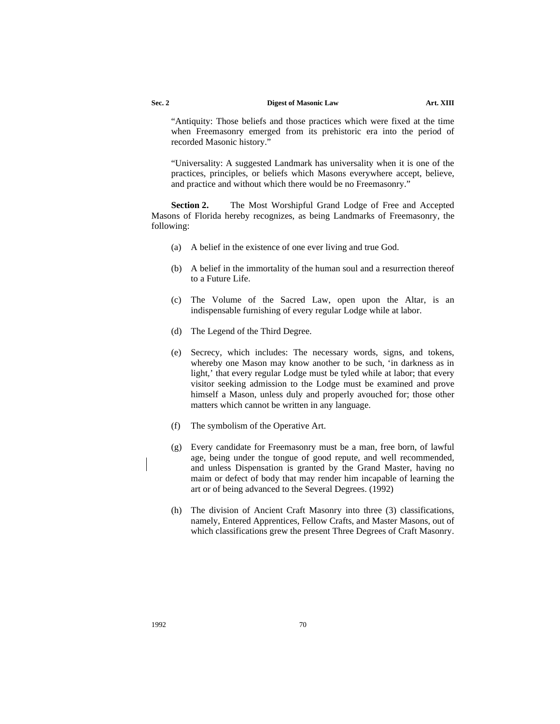#### **Sec. 2 Digest of Masonic Law Art. XIII**

"Antiquity: Those beliefs and those practices which were fixed at the time when Freemasonry emerged from its prehistoric era into the period of recorded Masonic history."

"Universality: A suggested Landmark has universality when it is one of the practices, principles, or beliefs which Masons everywhere accept, believe, and practice and without which there would be no Freemasonry."

**Section 2.** The Most Worshipful Grand Lodge of Free and Accepted Masons of Florida hereby recognizes, as being Landmarks of Freemasonry, the following:

- (a) A belief in the existence of one ever living and true God.
- (b) A belief in the immortality of the human soul and a resurrection thereof to a Future Life.
- (c) The Volume of the Sacred Law, open upon the Altar, is an indispensable furnishing of every regular Lodge while at labor.
- (d) The Legend of the Third Degree.
- (e) Secrecy, which includes: The necessary words, signs, and tokens, whereby one Mason may know another to be such, 'in darkness as in light,' that every regular Lodge must be tyled while at labor; that every visitor seeking admission to the Lodge must be examined and prove himself a Mason, unless duly and properly avouched for; those other matters which cannot be written in any language.
- (f) The symbolism of the Operative Art.
- (g) Every candidate for Freemasonry must be a man, free born, of lawful age, being under the tongue of good repute, and well recommended, and unless Dispensation is granted by the Grand Master, having no maim or defect of body that may render him incapable of learning the art or of being advanced to the Several Degrees. (1992)
- (h) The division of Ancient Craft Masonry into three (3) classifications, namely, Entered Apprentices, Fellow Crafts, and Master Masons, out of which classifications grew the present Three Degrees of Craft Masonry.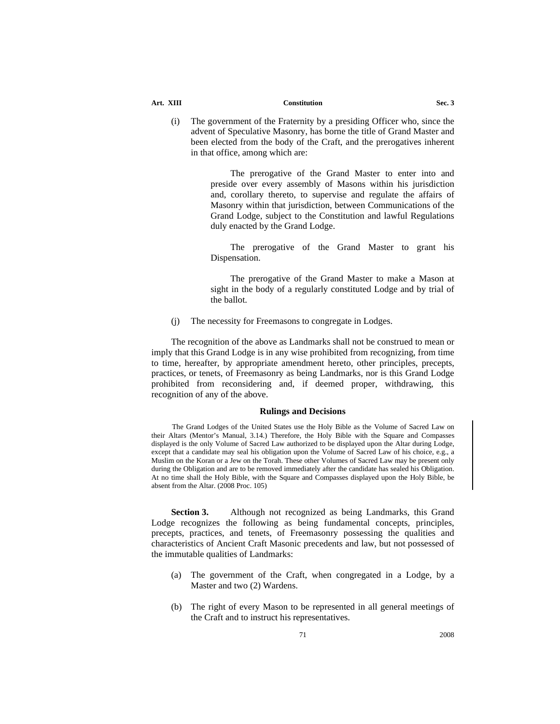#### **Art. XIII Constitution Sec. 3**

(i) The government of the Fraternity by a presiding Officer who, since the advent of Speculative Masonry, has borne the title of Grand Master and been elected from the body of the Craft, and the prerogatives inherent in that office, among which are:

> The prerogative of the Grand Master to enter into and preside over every assembly of Masons within his jurisdiction and, corollary thereto, to supervise and regulate the affairs of Masonry within that jurisdiction, between Communications of the Grand Lodge, subject to the Constitution and lawful Regulations duly enacted by the Grand Lodge.

> The prerogative of the Grand Master to grant his Dispensation.

> The prerogative of the Grand Master to make a Mason at sight in the body of a regularly constituted Lodge and by trial of the ballot.

(j) The necessity for Freemasons to congregate in Lodges.

The recognition of the above as Landmarks shall not be construed to mean or imply that this Grand Lodge is in any wise prohibited from recognizing, from time to time, hereafter, by appropriate amendment hereto, other principles, precepts, practices, or tenets, of Freemasonry as being Landmarks, nor is this Grand Lodge prohibited from reconsidering and, if deemed proper, withdrawing, this recognition of any of the above.

#### **Rulings and Decisions**

The Grand Lodges of the United States use the Holy Bible as the Volume of Sacred Law on their Altars (Mentor's Manual, 3.14.) Therefore, the Holy Bible with the Square and Compasses displayed is the only Volume of Sacred Law authorized to be displayed upon the Altar during Lodge, except that a candidate may seal his obligation upon the Volume of Sacred Law of his choice, e.g., a Muslim on the Koran or a Jew on the Torah. These other Volumes of Sacred Law may be present only during the Obligation and are to be removed immediately after the candidate has sealed his Obligation. At no time shall the Holy Bible, with the Square and Compasses displayed upon the Holy Bible, be absent from the Altar. (2008 Proc. 105)

**Section 3.** Although not recognized as being Landmarks, this Grand Lodge recognizes the following as being fundamental concepts, principles, precepts, practices, and tenets, of Freemasonry possessing the qualities and characteristics of Ancient Craft Masonic precedents and law, but not possessed of the immutable qualities of Landmarks:

- (a) The government of the Craft, when congregated in a Lodge, by a Master and two (2) Wardens.
- (b) The right of every Mason to be represented in all general meetings of the Craft and to instruct his representatives.

71 2008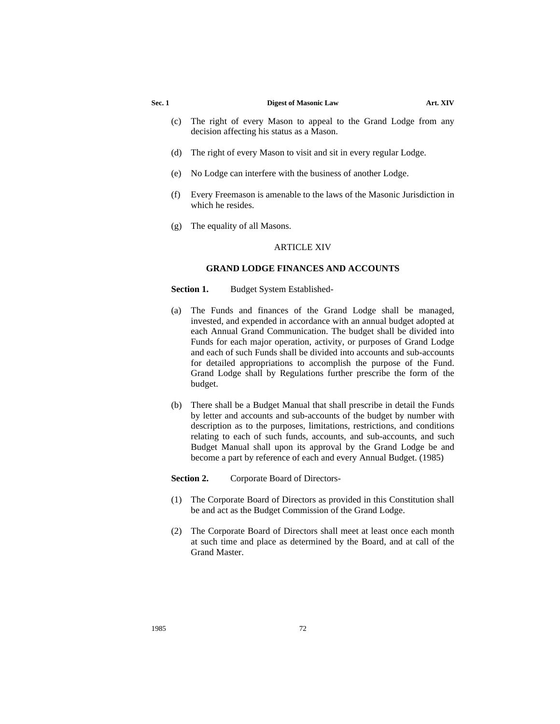#### **Sec. 1 Digest of Masonic Law Art. XIV**

- (c) The right of every Mason to appeal to the Grand Lodge from any decision affecting his status as a Mason.
- (d) The right of every Mason to visit and sit in every regular Lodge.
- (e) No Lodge can interfere with the business of another Lodge.
- (f) Every Freemason is amenable to the laws of the Masonic Jurisdiction in which he resides.
- (g) The equality of all Masons.

# ARTICLE XIV

# **GRAND LODGE FINANCES AND ACCOUNTS**

**Section 1.** Budget System Established-

- (a) The Funds and finances of the Grand Lodge shall be managed, invested, and expended in accordance with an annual budget adopted at each Annual Grand Communication. The budget shall be divided into Funds for each major operation, activity, or purposes of Grand Lodge and each of such Funds shall be divided into accounts and sub-accounts for detailed appropriations to accomplish the purpose of the Fund. Grand Lodge shall by Regulations further prescribe the form of the budget.
- (b) There shall be a Budget Manual that shall prescribe in detail the Funds by letter and accounts and sub-accounts of the budget by number with description as to the purposes, limitations, restrictions, and conditions relating to each of such funds, accounts, and sub-accounts, and such Budget Manual shall upon its approval by the Grand Lodge be and become a part by reference of each and every Annual Budget. (1985)

# **Section 2.** Corporate Board of Directors-

- (1) The Corporate Board of Directors as provided in this Constitution shall be and act as the Budget Commission of the Grand Lodge.
- (2) The Corporate Board of Directors shall meet at least once each month at such time and place as determined by the Board, and at call of the Grand Master.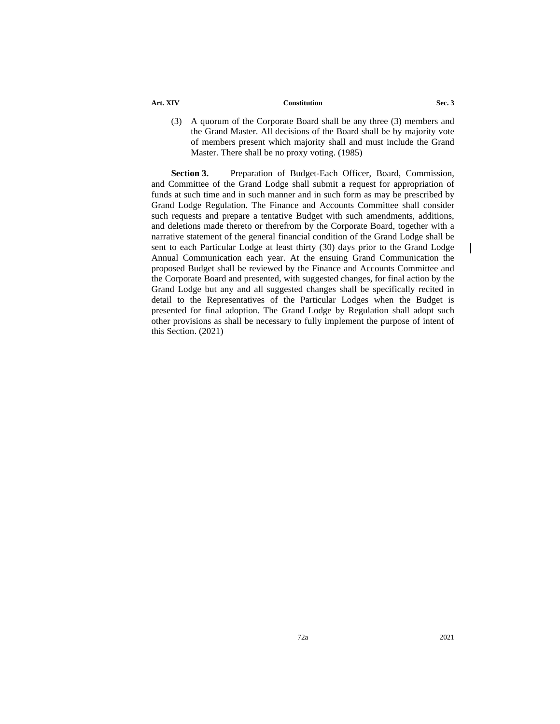#### **Art. XIV Constitution Sec. 3**

(3) A quorum of the Corporate Board shall be any three (3) members and the Grand Master. All decisions of the Board shall be by majority vote of members present which majority shall and must include the Grand Master. There shall be no proxy voting. (1985)

Section 3. Preparation of Budget-Each Officer, Board, Commission, and Committee of the Grand Lodge shall submit a request for appropriation of funds at such time and in such manner and in such form as may be prescribed by Grand Lodge Regulation. The Finance and Accounts Committee shall consider such requests and prepare a tentative Budget with such amendments, additions, and deletions made thereto or therefrom by the Corporate Board, together with a narrative statement of the general financial condition of the Grand Lodge shall be sent to each Particular Lodge at least thirty (30) days prior to the Grand Lodge Annual Communication each year. At the ensuing Grand Communication the proposed Budget shall be reviewed by the Finance and Accounts Committee and the Corporate Board and presented, with suggested changes, for final action by the Grand Lodge but any and all suggested changes shall be specifically recited in detail to the Representatives of the Particular Lodges when the Budget is presented for final adoption. The Grand Lodge by Regulation shall adopt such other provisions as shall be necessary to fully implement the purpose of intent of this Section. (2021)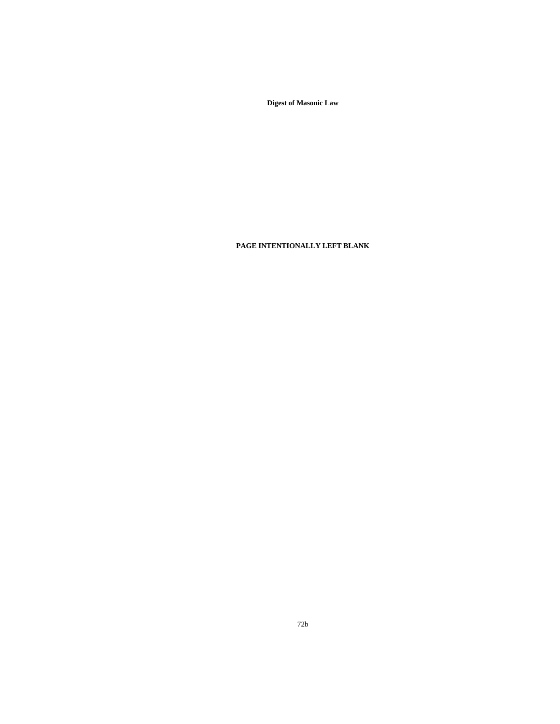**Digest of Masonic Law**

# **PAGE INTENTIONALLY LEFT BLANK**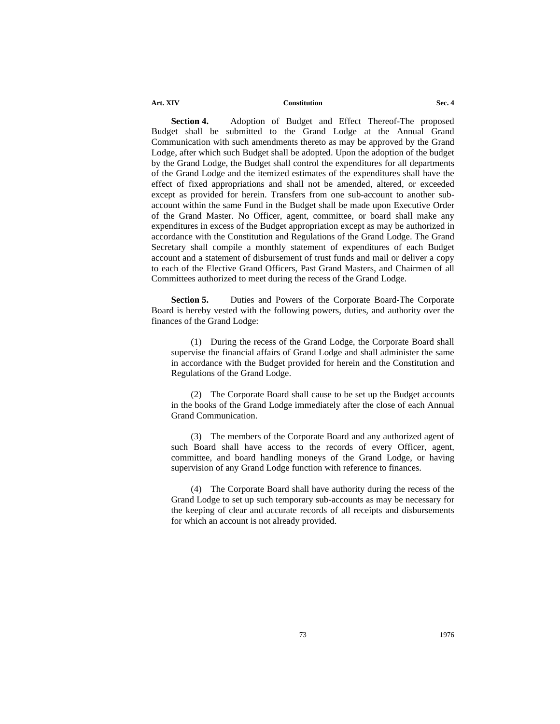### **Art. XIV Constitution Sec. 4**

Section 4. Adoption of Budget and Effect Thereof-The proposed Budget shall be submitted to the Grand Lodge at the Annual Grand Communication with such amendments thereto as may be approved by the Grand Lodge, after which such Budget shall be adopted. Upon the adoption of the budget by the Grand Lodge, the Budget shall control the expenditures for all departments of the Grand Lodge and the itemized estimates of the expenditures shall have the effect of fixed appropriations and shall not be amended, altered, or exceeded except as provided for herein. Transfers from one sub-account to another subaccount within the same Fund in the Budget shall be made upon Executive Order of the Grand Master. No Officer, agent, committee, or board shall make any expenditures in excess of the Budget appropriation except as may be authorized in accordance with the Constitution and Regulations of the Grand Lodge. The Grand Secretary shall compile a monthly statement of expenditures of each Budget account and a statement of disbursement of trust funds and mail or deliver a copy to each of the Elective Grand Officers, Past Grand Masters, and Chairmen of all Committees authorized to meet during the recess of the Grand Lodge.

**Section 5.** Duties and Powers of the Corporate Board-The Corporate Board is hereby vested with the following powers, duties, and authority over the finances of the Grand Lodge:

(1) During the recess of the Grand Lodge, the Corporate Board shall supervise the financial affairs of Grand Lodge and shall administer the same in accordance with the Budget provided for herein and the Constitution and Regulations of the Grand Lodge.

(2) The Corporate Board shall cause to be set up the Budget accounts in the books of the Grand Lodge immediately after the close of each Annual Grand Communication.

(3) The members of the Corporate Board and any authorized agent of such Board shall have access to the records of every Officer, agent, committee, and board handling moneys of the Grand Lodge, or having supervision of any Grand Lodge function with reference to finances.

(4) The Corporate Board shall have authority during the recess of the Grand Lodge to set up such temporary sub-accounts as may be necessary for the keeping of clear and accurate records of all receipts and disbursements for which an account is not already provided.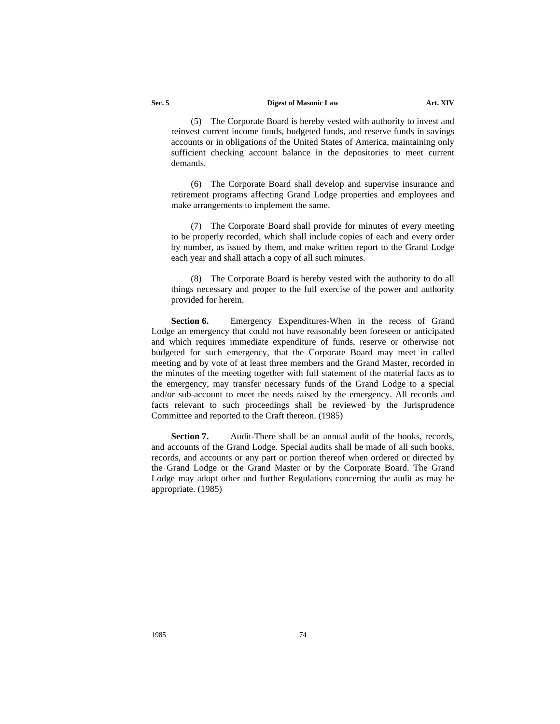#### **Sec. 5 Digest of Masonic Law Art. XIV**

(5) The Corporate Board is hereby vested with authority to invest and reinvest current income funds, budgeted funds, and reserve funds in savings accounts or in obligations of the United States of America, maintaining only sufficient checking account balance in the depositories to meet current demands.

(6) The Corporate Board shall develop and supervise insurance and retirement programs affecting Grand Lodge properties and employees and make arrangements to implement the same.

(7) The Corporate Board shall provide for minutes of every meeting to be properly recorded, which shall include copies of each and every order by number, as issued by them, and make written report to the Grand Lodge each year and shall attach a copy of all such minutes.

(8) The Corporate Board is hereby vested with the authority to do all things necessary and proper to the full exercise of the power and authority provided for herein.

**Section 6.** Emergency Expenditures-When in the recess of Grand Lodge an emergency that could not have reasonably been foreseen or anticipated and which requires immediate expenditure of funds, reserve or otherwise not budgeted for such emergency, that the Corporate Board may meet in called meeting and by vote of at least three members and the Grand Master, recorded in the minutes of the meeting together with full statement of the material facts as to the emergency, may transfer necessary funds of the Grand Lodge to a special and/or sub-account to meet the needs raised by the emergency. All records and facts relevant to such proceedings shall be reviewed by the Jurisprudence Committee and reported to the Craft thereon. (1985)

**Section 7.** Audit-There shall be an annual audit of the books, records, and accounts of the Grand Lodge. Special audits shall be made of all such books, records, and accounts or any part or portion thereof when ordered or directed by the Grand Lodge or the Grand Master or by the Corporate Board. The Grand Lodge may adopt other and further Regulations concerning the audit as may be appropriate. (1985)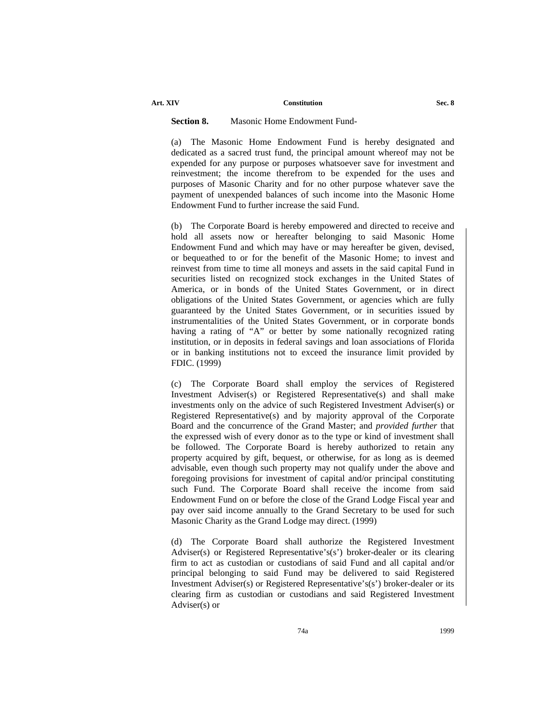#### **Art. XIV Constitution Sec. 8**

# **Section 8.** Masonic Home Endowment Fund-

(a) The Masonic Home Endowment Fund is hereby designated and dedicated as a sacred trust fund, the principal amount whereof may not be expended for any purpose or purposes whatsoever save for investment and reinvestment; the income therefrom to be expended for the uses and purposes of Masonic Charity and for no other purpose whatever save the payment of unexpended balances of such income into the Masonic Home Endowment Fund to further increase the said Fund.

(b) The Corporate Board is hereby empowered and directed to receive and hold all assets now or hereafter belonging to said Masonic Home Endowment Fund and which may have or may hereafter be given, devised, or bequeathed to or for the benefit of the Masonic Home; to invest and reinvest from time to time all moneys and assets in the said capital Fund in securities listed on recognized stock exchanges in the United States of America, or in bonds of the United States Government, or in direct obligations of the United States Government, or agencies which are fully guaranteed by the United States Government, or in securities issued by instrumentalities of the United States Government, or in corporate bonds having a rating of "A" or better by some nationally recognized rating institution, or in deposits in federal savings and loan associations of Florida or in banking institutions not to exceed the insurance limit provided by FDIC. (1999)

(c) The Corporate Board shall employ the services of Registered Investment Adviser(s) or Registered Representative(s) and shall make investments only on the advice of such Registered Investment Adviser(s) or Registered Representative(s) and by majority approval of the Corporate Board and the concurrence of the Grand Master; and *provided further* that the expressed wish of every donor as to the type or kind of investment shall be followed. The Corporate Board is hereby authorized to retain any property acquired by gift, bequest, or otherwise, for as long as is deemed advisable, even though such property may not qualify under the above and foregoing provisions for investment of capital and/or principal constituting such Fund. The Corporate Board shall receive the income from said Endowment Fund on or before the close of the Grand Lodge Fiscal year and pay over said income annually to the Grand Secretary to be used for such Masonic Charity as the Grand Lodge may direct. (1999)

(d) The Corporate Board shall authorize the Registered Investment Adviser(s) or Registered Representative's(s') broker-dealer or its clearing firm to act as custodian or custodians of said Fund and all capital and/or principal belonging to said Fund may be delivered to said Registered Investment Adviser(s) or Registered Representative's(s') broker-dealer or its clearing firm as custodian or custodians and said Registered Investment Adviser(s) or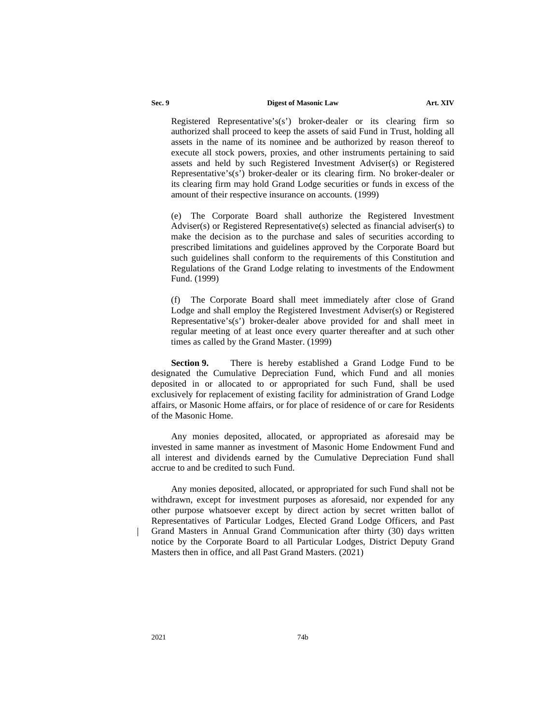#### **Sec. 9 Digest of Masonic Law Art. XIV**

Registered Representative's(s') broker-dealer or its clearing firm so authorized shall proceed to keep the assets of said Fund in Trust, holding all assets in the name of its nominee and be authorized by reason thereof to execute all stock powers, proxies, and other instruments pertaining to said assets and held by such Registered Investment Adviser(s) or Registered Representative's(s') broker-dealer or its clearing firm. No broker-dealer or its clearing firm may hold Grand Lodge securities or funds in excess of the amount of their respective insurance on accounts. (1999)

(e) The Corporate Board shall authorize the Registered Investment Adviser(s) or Registered Representative(s) selected as financial adviser(s) to make the decision as to the purchase and sales of securities according to prescribed limitations and guidelines approved by the Corporate Board but such guidelines shall conform to the requirements of this Constitution and Regulations of the Grand Lodge relating to investments of the Endowment Fund. (1999)

(f) The Corporate Board shall meet immediately after close of Grand Lodge and shall employ the Registered Investment Adviser(s) or Registered Representative's(s') broker-dealer above provided for and shall meet in regular meeting of at least once every quarter thereafter and at such other times as called by the Grand Master. (1999)

**Section 9.** There is hereby established a Grand Lodge Fund to be designated the Cumulative Depreciation Fund, which Fund and all monies deposited in or allocated to or appropriated for such Fund, shall be used exclusively for replacement of existing facility for administration of Grand Lodge affairs, or Masonic Home affairs, or for place of residence of or care for Residents of the Masonic Home.

Any monies deposited, allocated, or appropriated as aforesaid may be invested in same manner as investment of Masonic Home Endowment Fund and all interest and dividends earned by the Cumulative Depreciation Fund shall accrue to and be credited to such Fund.

Any monies deposited, allocated, or appropriated for such Fund shall not be withdrawn, except for investment purposes as aforesaid, nor expended for any other purpose whatsoever except by direct action by secret written ballot of Representatives of Particular Lodges, Elected Grand Lodge Officers, and Past Grand Masters in Annual Grand Communication after thirty (30) days written notice by the Corporate Board to all Particular Lodges, District Deputy Grand Masters then in office, and all Past Grand Masters. (2021)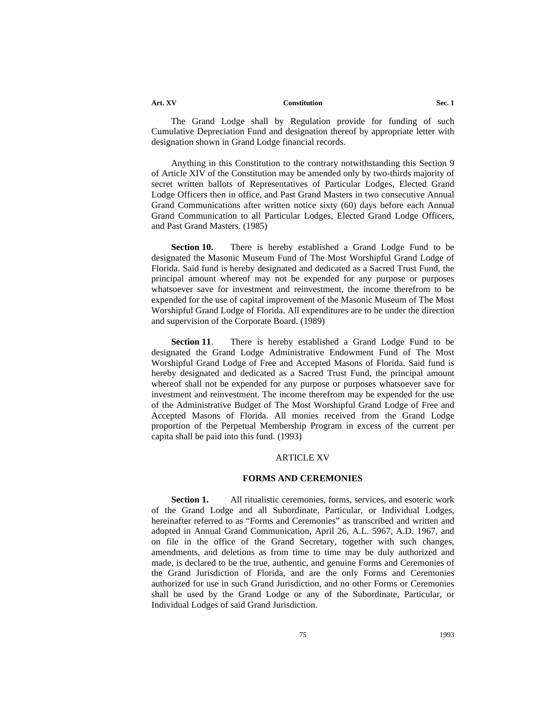#### **Art. XV Constitution Sec. 1**

The Grand Lodge shall by Regulation provide for funding of such Cumulative Depreciation Fund and designation thereof by appropriate letter with designation shown in Grand Lodge financial records.

Anything in this Constitution to the contrary notwithstanding this Section 9 of Article XIV of the Constitution may be amended only by two-thirds majority of secret written ballots of Representatives of Particular Lodges, Elected Grand Lodge Officers then in office, and Past Grand Masters in two consecutive Annual Grand Communications after written notice sixty (60) days before each Annual Grand Communication to all Particular Lodges, Elected Grand Lodge Officers, and Past Grand Masters. (1985)

**Section 10.** There is hereby established a Grand Lodge Fund to be designated the Masonic Museum Fund of The Most Worshipful Grand Lodge of Florida. Said fund is hereby designated and dedicated as a Sacred Trust Fund, the principal amount whereof may not be expended for any purpose or purposes whatsoever save for investment and reinvestment, the income therefrom to be expended for the use of capital improvement of the Masonic Museum of The Most Worshipful Grand Lodge of Florida. All expenditures are to be under the direction and supervision of the Corporate Board. (1989)

**Section 11**. There is hereby established a Grand Lodge Fund to be designated the Grand Lodge Administrative Endowment Fund of The Most Worshipful Grand Lodge of Free and Accepted Masons of Florida. Said fund is hereby designated and dedicated as a Sacred Trust Fund, the principal amount whereof shall not be expended for any purpose or purposes whatsoever save for investment and reinvestment. The income therefrom may be expended for the use of the Administrative Budget of The Most Worshipful Grand Lodge of Free and Accepted Masons of Florida. All monies received from the Grand Lodge proportion of the Perpetual Membership Program in excess of the current per capita shall be paid into this fund. (1993)

# ARTICLE XV

# **FORMS AND CEREMONIES**

**Section 1.** All ritualistic ceremonies, forms, services, and esoteric work of the Grand Lodge and all Subordinate, Particular, or Individual Lodges, hereinafter referred to as "Forms and Ceremonies" as transcribed and written and adopted in Annual Grand Communication, April 26, A.L. 5967, A.D. 1967, and on file in the office of the Grand Secretary, together with such changes, amendments, and deletions as from time to time may be duly authorized and made, is declared to be the true, authentic, and genuine Forms and Ceremonies of the Grand Jurisdiction of Florida, and are the only Forms and Ceremonies authorized for use in such Grand Jurisdiction, and no other Forms or Ceremonies shall be used by the Grand Lodge or any of the Subordinate, Particular, or Individual Lodges of said Grand Jurisdiction.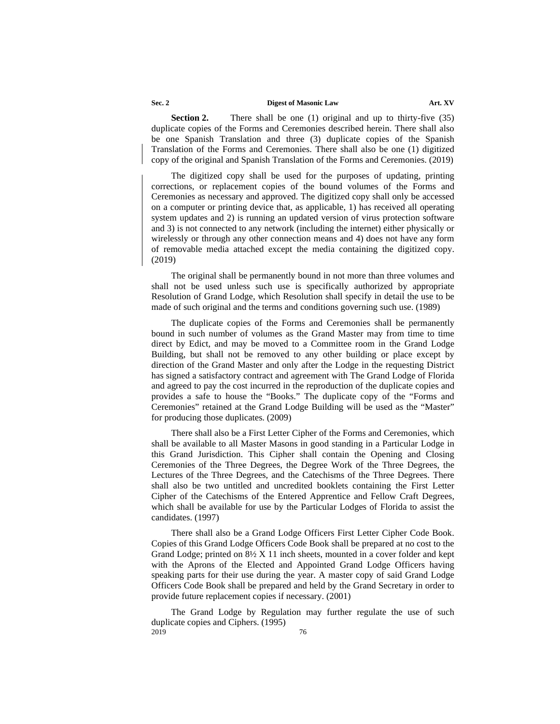# **Sec. 2 Digest of Masonic Law Art. XV**

**Section 2.** There shall be one (1) original and up to thirty-five (35) duplicate copies of the Forms and Ceremonies described herein. There shall also be one Spanish Translation and three (3) duplicate copies of the Spanish Translation of the Forms and Ceremonies. There shall also be one (1) digitized copy of the original and Spanish Translation of the Forms and Ceremonies. (2019)

The digitized copy shall be used for the purposes of updating, printing corrections, or replacement copies of the bound volumes of the Forms and Ceremonies as necessary and approved. The digitized copy shall only be accessed on a computer or printing device that, as applicable, 1) has received all operating system updates and 2) is running an updated version of virus protection software and 3) is not connected to any network (including the internet) either physically or wirelessly or through any other connection means and 4) does not have any form of removable media attached except the media containing the digitized copy. (2019)

The original shall be permanently bound in not more than three volumes and shall not be used unless such use is specifically authorized by appropriate Resolution of Grand Lodge, which Resolution shall specify in detail the use to be made of such original and the terms and conditions governing such use. (1989)

The duplicate copies of the Forms and Ceremonies shall be permanently bound in such number of volumes as the Grand Master may from time to time direct by Edict, and may be moved to a Committee room in the Grand Lodge Building, but shall not be removed to any other building or place except by direction of the Grand Master and only after the Lodge in the requesting District has signed a satisfactory contract and agreement with The Grand Lodge of Florida and agreed to pay the cost incurred in the reproduction of the duplicate copies and provides a safe to house the "Books." The duplicate copy of the "Forms and Ceremonies" retained at the Grand Lodge Building will be used as the "Master" for producing those duplicates. (2009)

There shall also be a First Letter Cipher of the Forms and Ceremonies, which shall be available to all Master Masons in good standing in a Particular Lodge in this Grand Jurisdiction. This Cipher shall contain the Opening and Closing Ceremonies of the Three Degrees, the Degree Work of the Three Degrees, the Lectures of the Three Degrees, and the Catechisms of the Three Degrees. There shall also be two untitled and uncredited booklets containing the First Letter Cipher of the Catechisms of the Entered Apprentice and Fellow Craft Degrees, which shall be available for use by the Particular Lodges of Florida to assist the candidates. (1997)

There shall also be a Grand Lodge Officers First Letter Cipher Code Book. Copies of this Grand Lodge Officers Code Book shall be prepared at no cost to the Grand Lodge; printed on  $8\frac{1}{2}$  X 11 inch sheets, mounted in a cover folder and kept with the Aprons of the Elected and Appointed Grand Lodge Officers having speaking parts for their use during the year. A master copy of said Grand Lodge Officers Code Book shall be prepared and held by the Grand Secretary in order to provide future replacement copies if necessary. (2001)

The Grand Lodge by Regulation may further regulate the use of such duplicate copies and Ciphers. (1995)<br>2019 2019 76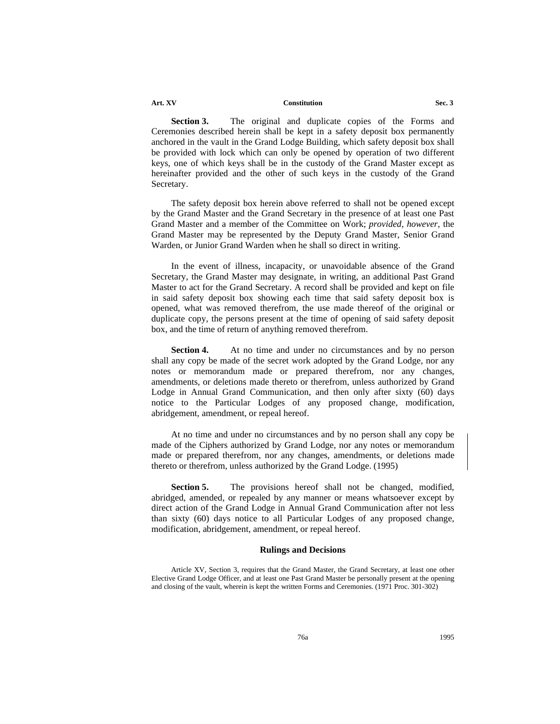# **Art. XV Constitution Sec. 3**

Section 3. The original and duplicate copies of the Forms and Ceremonies described herein shall be kept in a safety deposit box permanently anchored in the vault in the Grand Lodge Building, which safety deposit box shall be provided with lock which can only be opened by operation of two different keys, one of which keys shall be in the custody of the Grand Master except as hereinafter provided and the other of such keys in the custody of the Grand Secretary.

The safety deposit box herein above referred to shall not be opened except by the Grand Master and the Grand Secretary in the presence of at least one Past Grand Master and a member of the Committee on Work; *provided, however,* the Grand Master may be represented by the Deputy Grand Master, Senior Grand Warden, or Junior Grand Warden when he shall so direct in writing.

In the event of illness, incapacity, or unavoidable absence of the Grand Secretary, the Grand Master may designate, in writing, an additional Past Grand Master to act for the Grand Secretary. A record shall be provided and kept on file in said safety deposit box showing each time that said safety deposit box is opened, what was removed therefrom, the use made thereof of the original or duplicate copy, the persons present at the time of opening of said safety deposit box, and the time of return of anything removed therefrom.

**Section 4.** At no time and under no circumstances and by no person shall any copy be made of the secret work adopted by the Grand Lodge, nor any notes or memorandum made or prepared therefrom, nor any changes, amendments, or deletions made thereto or therefrom, unless authorized by Grand Lodge in Annual Grand Communication, and then only after sixty (60) days notice to the Particular Lodges of any proposed change, modification, abridgement, amendment, or repeal hereof.

At no time and under no circumstances and by no person shall any copy be made of the Ciphers authorized by Grand Lodge, nor any notes or memorandum made or prepared therefrom, nor any changes, amendments, or deletions made thereto or therefrom, unless authorized by the Grand Lodge. (1995)

**Section 5.** The provisions hereof shall not be changed, modified, abridged, amended, or repealed by any manner or means whatsoever except by direct action of the Grand Lodge in Annual Grand Communication after not less than sixty (60) days notice to all Particular Lodges of any proposed change, modification, abridgement, amendment, or repeal hereof.

#### **Rulings and Decisions**

Article XV, Section 3, requires that the Grand Master, the Grand Secretary, at least one other Elective Grand Lodge Officer, and at least one Past Grand Master be personally present at the opening and closing of the vault, wherein is kept the written Forms and Ceremonies. (1971 Proc. 301-302)